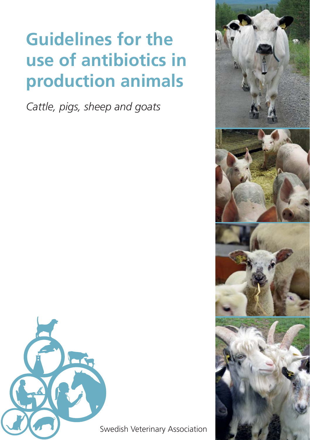# **Guidelines for the use of antibiotics in production animals**

*Cattle, pigs, sheep and goats*



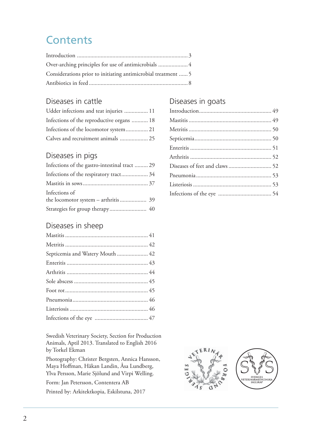## **Contents**

| Considerations prior to initiating antimicrobial treatment  5 |  |
|---------------------------------------------------------------|--|
|                                                               |  |

### Diseases in cattle

| Udder infections and teat injuries  11    |  |
|-------------------------------------------|--|
| Infections of the reproductive organs  18 |  |
| Infections of the locomotor system 21     |  |
| Calves and recruitment animals  25        |  |

#### Diseases in pigs

| Infections of the gastro-intestinal tract  29 |  |
|-----------------------------------------------|--|
|                                               |  |
|                                               |  |
| Infections of                                 |  |
|                                               |  |
| Strategies for group therapy 40               |  |

#### Diseases in sheep

| Septicemia and Watery Mouth  42 |  |
|---------------------------------|--|
|                                 |  |
|                                 |  |
|                                 |  |
|                                 |  |
|                                 |  |
|                                 |  |
|                                 |  |

Swedish Veterinary Society, Section for Production Animals, Aptil 2013. Translated to English 2016 by Torkel Ekman

Photography: Christer Bergsten, Annica Hansson, Maya Hoffman, Håkan Landin, Åsa Lundberg, Ylva Persson, Marie Sjölund and Virpi Welling.

Form: Jan Petersson, Contentera AB Printed by: Arkitektkopia, Eskilstuna, 2017

## Diseases in goats

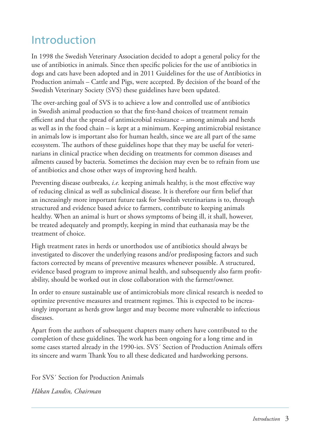## Introduction

In 1998 the Swedish Veterinary Association decided to adopt a general policy for the use of antibiotics in animals. Since then specific policies for the use of antibiotics in dogs and cats have been adopted and in 2011 Guidelines for the use of Antibiotics in Production animals – Cattle and Pigs, were accepted. By decision of the board of the Swedish Veterinary Society (SVS) these guidelines have been updated.

The over-arching goal of SVS is to achieve a low and controlled use of antibiotics in Swedish animal production so that the first-hand choices of treatment remain efficient and that the spread of antimicrobial resistance – among animals and herds as well as in the food chain – is kept at a minimum. Keeping antimicrobial resistance in animals low is important also for human health, since we are all part of the same ecosystem. The authors of these guidelines hope that they may be useful for veterinarians in clinical practice when deciding on treatments for common diseases and ailments caused by bacteria. Sometimes the decision may even be to refrain from use of antibiotics and chose other ways of improving herd health.

Preventing disease outbreaks, *i.e.* keeping animals healthy, is the most effective way of reducing clinical as well as subclinical disease. It is therefore our firm belief that an increasingly more important future task for Swedish veterinarians is to, through structured and evidence based advice to farmers, contribute to keeping animals healthy. When an animal is hurt or shows symptoms of being ill, it shall, however, be treated adequately and promptly, keeping in mind that euthanasia may be the treatment of choice.

High treatment rates in herds or unorthodox use of antibiotics should always be investigated to discover the underlying reasons and/or predisposing factors and such factors corrected by means of preventive measures whenever possible. A structured, evidence based program to improve animal health, and subsequently also farm profitability, should be worked out in close collaboration with the farmer/owner.

In order to ensure sustainable use of antimicrobials more clinical research is needed to optimize preventive measures and treatment regimes. This is expected to be increasingly important as herds grow larger and may become more vulnerable to infectious diseases.

Apart from the authors of subsequent chapters many others have contributed to the completion of these guidelines. The work has been ongoing for a long time and in some cases started already in the 1990-ies. SVS' Section of Production Animals offers its sincere and warm Thank You to all these dedicated and hardworking persons.

For SVS´ Section for Production Animals

*Håkan Landin, Chairman*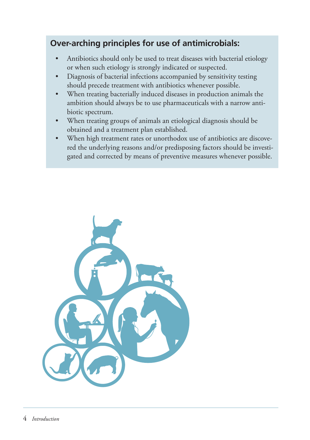## **Over-arching principles for use of antimicrobials:**

- Antibiotics should only be used to treat diseases with bacterial etiology or when such etiology is strongly indicated or suspected.
- Diagnosis of bacterial infections accompanied by sensitivity testing should precede treatment with antibiotics whenever possible.
- When treating bacterially induced diseases in production animals the ambition should always be to use pharmaceuticals with a narrow antibiotic spectrum.
- When treating groups of animals an etiological diagnosis should be obtained and a treatment plan established.
- When high treatment rates or unorthodox use of antibiotics are discovered the underlying reasons and/or predisposing factors should be investigated and corrected by means of preventive measures whenever possible.

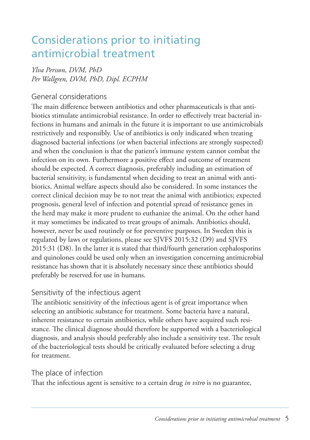## Considerations prior to initiating antimicrobial treatment

#### *Ylva Persson, DVM, PhD Per Wallgren, DVM, PhD, Dipl. ECPHM*

#### General considerations

The main difference between antibiotics and other pharmaceuticals is that antibiotics stimulate antimicrobial resistance. In order to effectively treat bacterial infections in humans and animals in the future it is important to use antimicrobials restrictively and responsibly. Use of antibiotics is only indicated when treating diagnosed bacterial infections (or when bacterial infections are strongly suspected) and when the conclusion is that the patient's immune system cannot combat the infection on its own. Furthermore a positive effect and outcome of treatment should be expected. A correct diagnosis, preferably including an estimation of bacterial sensitivity, is fundamental when deciding to treat an animal with antibiotics. Animal welfare aspects should also be considered. In some instances the correct clinical decision may be to not treat the animal with antibiotics; expected prognosis, general level of infection and potential spread of resistance genes in the herd may make it more prudent to euthanize the animal. On the other hand it may sometimes be indicated to treat groups of animals. Antibiotics should, however, never be used routinely or for preventive purposes. In Sweden this is regulated by laws or regulations, please see SJVFS 2015:32 (D9) and SJVFS 2015:31 (D8). In the latter it is stated that third/fourth generation cephalosporins and quinolones could be used only when an investigation concerning antimicrobial resistance has shown that it is absolutely necessary since these antibiotics should preferably be reserved for use in humans.

#### Sensitivity of the infectious agent

The antibiotic sensitivity of the infectious agent is of great importance when selecting an antibiotic substance for treatment. Some bacteria have a natural, inherent resistance to certain antibiotics, while others have acquired such resistance. The clinical diagnose should therefore be supported with a bacteriological diagnosis, and analysis should preferably also include a sensitivity test. The result of the bacteriological tests should be critically evaluated before selecting a drug for treatment.

### The place of infection

That the infectious agent is sensitive to a certain drug *in vitro* is no guarantee,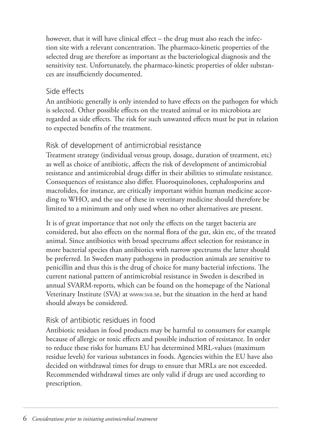however, that it will have clinical effect – the drug must also reach the infection site with a relevant concentration. The pharmaco-kinetic properties of the selected drug are therefore as important as the bacteriological diagnosis and the sensitivity test. Unfortunately, the pharmaco-kinetic properties of older substances are insufficiently documented.

#### Side effects

An antibiotic generally is only intended to have effects on the pathogen for which is selected. Other possible effects on the treated animal or its microbiota are regarded as side effects. The risk for such unwanted effects must be put in relation to expected benefits of the treatment.

#### Risk of development of antimicrobial resistance

Treatment strategy (individual versus group, dosage, duration of treatment, etc) as well as choice of antibiotic, affects the risk of development of antimicrobial resistance and antimicrobial drugs differ in their abilities to stimulate resistance. Consequences of resistance also differ. Fluoroquinolones, cephalosporins and macrolides, for instance, are critically important within human medicine according to WHO, and the use of these in veterinary medicine should therefore be limited to a minimum and only used when no other alternatives are present.

It is of great importance that not only the effects on the target bacteria are considered, but also effects on the normal flora of the gut, skin etc, of the treated animal. Since antibiotics with broad spectrums affect selection for resistance in more bacterial species than antibiotics with narrow spectrums the latter should be preferred. In Sweden many pathogens in production animals are sensitive to penicillin and thus this is the drug of choice for many bacterial infections. The current national pattern of antimicrobial resistance in Sweden is described in annual SVARM-reports, which can be found on the homepage of the National Veterinary Institute (SVA) at www.sva.se, but the situation in the herd at hand should always be considered.

#### Risk of antibiotic residues in food

Antibiotic residues in food products may be harmful to consumers for example because of allergic or toxic effects and possible induction of resistance. In order to reduce these risks for humans EU has determined MRL-values (maximum residue levels) for various substances in foods. Agencies within the EU have also decided on withdrawal times for drugs to ensure that MRLs are not exceeded. Recommended withdrawal times are only valid if drugs are used according to prescription.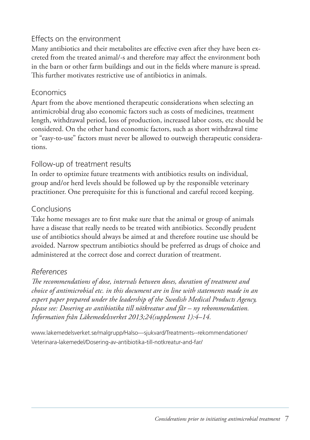#### Effects on the environment

Many antibiotics and their metabolites are effective even after they have been excreted from the treated animal/-s and therefore may affect the environment both in the barn or other farm buildings and out in the fields where manure is spread. This further motivates restrictive use of antibiotics in animals.

#### **Economics**

Apart from the above mentioned therapeutic considerations when selecting an antimicrobial drug also economic factors such as costs of medicines, treatment length, withdrawal period, loss of production, increased labor costs, etc should be considered. On the other hand economic factors, such as short withdrawal time or "easy-to-use" factors must never be allowed to outweigh therapeutic considerations.

#### Follow-up of treatment results

In order to optimize future treatments with antibiotics results on individual, group and/or herd levels should be followed up by the responsible veterinary practitioner. One prerequisite for this is functional and careful record keeping.

#### Conclusions

Take home messages are to first make sure that the animal or group of animals have a disease that really needs to be treated with antibiotics. Secondly prudent use of antibiotics should always be aimed at and therefore routine use should be avoided. Narrow spectrum antibiotics should be preferred as drugs of choice and administered at the correct dose and correct duration of treatment.

#### *References*

The recommendations of dose, intervals between doses, duration of treatment and *choice of antimicrobial etc. in this document are in line with statements made in an expert paper prepared under the leadership of the Swedish Medical Products Agency, please see: Dosering av antibiotika till nötkreatur and får – ny rekommendation. Information från Läkemedelsverket 2013;24(supplement 1):4–14.*

www.lakemedelsverket.se/malgrupp/Halso---sjukvard/Treatments--rekommendationer/ Veterinara-lakemedel/Dosering-av-antibiotika-till-notkreatur-and-far/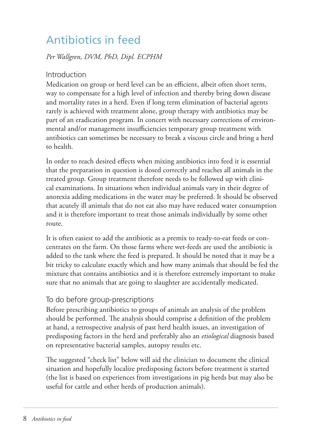## Antibiotics in feed

#### *Per Wallgren, DVM, PhD, Dipl. ECPHM*

#### Introduction

Medication on group or herd level can be an efficient, albeit often short term, way to compensate for a high level of infection and thereby bring down disease and mortality rates in a herd. Even if long term elimination of bacterial agents rarely is achieved with treatment alone, group therapy with antibiotics may be part of an eradication program. In concert with necessary corrections of environmental and/or management insufficiencies temporary group treatment with antibiotics can sometimes be necessary to break a viscous circle and bring a herd to health.

In order to reach desired effects when mixing antibiotics into feed it is essential that the preparation in question is dosed correctly and reaches all animals in the treated group. Group treatment therefore needs to be followed up with clinical examinations. In situations when individual animals vary in their degree of anorexia adding medications in the water may be preferred. It should be observed that acutely ill animals that do not eat also may have reduced water consumption and it is therefore important to treat those animals individually by some other route.

It is often easiest to add the antibiotic as a premix to ready-to-eat feeds or concentrates on the farm. On those farms where wet-feeds are used the antibiotic is added to the tank where the feed is prepared. It should be noted that it may be a bit tricky to calculate exactly which and how many animals that should be fed the mixture that contains antibiotics and it is therefore extremely important to make sure that no animals that are going to slaughter are accidentally medicated.

#### To do before group-prescriptions

Before prescribing antibiotics to groups of animals an analysis of the problem should be performed. The analysis should comprise a definition of the problem at hand, a retrospective analysis of past herd health issues, an investigation of predisposing factors in the herd and preferably also an *etiological* diagnosis based on representative bacterial samples, autopsy results etc.

The suggested "check list" below will aid the clinician to document the clinical situation and hopefully localize predisposing factors before treatment is started (the list is based on experiences from investigations in pig herds but may also be useful for cattle and other herds of production animals).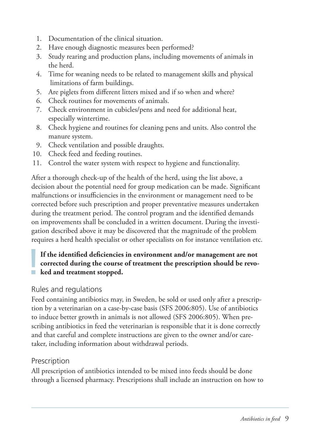- 1. Documentation of the clinical situation.
- 2. Have enough diagnostic measures been performed?
- 3. Study rearing and production plans, including movements of animals in the herd.
- 4. Time for weaning needs to be related to management skills and physical limitations of farm buildings.
- 5. Are piglets from different litters mixed and if so when and where?
- 6. Check routines for movements of animals.
- 7. Check environment in cubicles/pens and need for additional heat, especially wintertime.
- 8. Check hygiene and routines for cleaning pens and units. Also control the manure system.
- 9. Check ventilation and possible draughts.
- 10. Check feed and feeding routines.
- 11. Control the water system with respect to hygiene and functionality.

After a thorough check-up of the health of the herd, using the list above, a decision about the potential need for group medication can be made. Significant malfunctions or insufficiencies in the environment or management need to be corrected before such prescription and proper preventative measures undertaken during the treatment period. The control program and the identified demands on improvements shall be concluded in a written document. During the investigation described above it may be discovered that the magnitude of the problem requires a herd health specialist or other specialists on for instance ventilation etc.

## If the identified deficiencies<br>corrected during the course<br>level and treatment stopped. If the identified deficiencies in environment and/or management are not **corrected during the course of treatment the prescription should be revo-**

#### Rules and regulations

Feed containing antibiotics may, in Sweden, be sold or used only after a prescription by a veterinarian on a case-by-case basis (SFS 2006:805). Use of antibiotics to induce better growth in animals is not allowed (SFS 2006:805). When prescribing antibiotics in feed the veterinarian is responsible that it is done correctly and that careful and complete instructions are given to the owner and/or caretaker, including information about withdrawal periods.

#### **Prescription**

All prescription of antibiotics intended to be mixed into feeds should be done through a licensed pharmacy. Prescriptions shall include an instruction on how to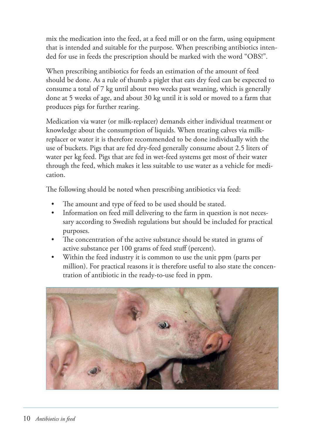mix the medication into the feed, at a feed mill or on the farm, using equipment that is intended and suitable for the purpose. When prescribing antibiotics intended for use in feeds the prescription should be marked with the word "OBS!".

When prescribing antibiotics for feeds an estimation of the amount of feed should be done. As a rule of thumb a piglet that eats dry feed can be expected to consume a total of 7 kg until about two weeks past weaning, which is generally done at 5 weeks of age, and about 30 kg until it is sold or moved to a farm that produces pigs for further rearing.

Medication via water (or milk-replacer) demands either individual treatment or knowledge about the consumption of liquids. When treating calves via milkreplacer or water it is therefore recommended to be done individually with the use of buckets. Pigs that are fed dry-feed generally consume about 2.5 liters of water per kg feed. Pigs that are fed in wet-feed systems get most of their water through the feed, which makes it less suitable to use water as a vehicle for medication.

The following should be noted when prescribing antibiotics via feed:

- The amount and type of feed to be used should be stated.
- Information on feed mill delivering to the farm in question is not necessary according to Swedish regulations but should be included for practical purposes.
- The concentration of the active substance should be stated in grams of active substance per 100 grams of feed stuff (percent).
- Within the feed industry it is common to use the unit ppm (parts per million). For practical reasons it is therefore useful to also state the concentration of antibiotic in the ready-to-use feed in ppm.

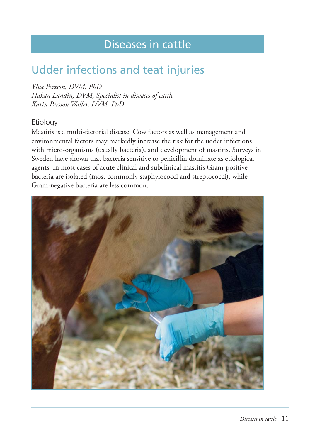## Diseases in cattle

## Udder infections and teat injuries

*Ylva Persson, DVM, PhD Håkan Landin, DVM, Specialist in diseases of cattle Karin Persson Waller, DVM, PhD*

#### Etiology

Mastitis is a multi-factorial disease. Cow factors as well as management and environmental factors may markedly increase the risk for the udder infections with micro-organisms (usually bacteria), and development of mastitis. Surveys in Sweden have shown that bacteria sensitive to penicillin dominate as etiological agents. In most cases of acute clinical and subclinical mastitis Gram-positive bacteria are isolated (most commonly staphylococci and streptococci), while Gram-negative bacteria are less common.

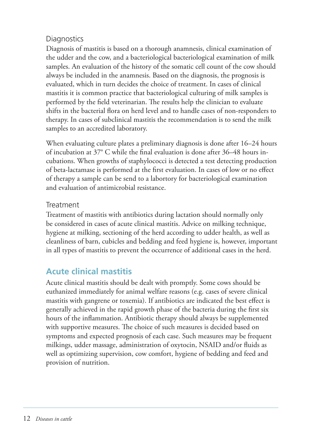### **Diagnostics**

Diagnosis of mastitis is based on a thorough anamnesis, clinical examination of the udder and the cow, and a bacteriological bacteriological examination of milk samples. An evaluation of the history of the somatic cell count of the cow should always be included in the anamnesis. Based on the diagnosis, the prognosis is evaluated, which in turn decides the choice of treatment. In cases of clinical mastitis it is common practice that bacteriological culturing of milk samples is performed by the field veterinarian. The results help the clinician to evaluate shifts in the bacterial flora on herd level and to handle cases of non-responders to therapy. In cases of subclinical mastitis the recommendation is to send the milk samples to an accredited laboratory.

When evaluating culture plates a preliminary diagnosis is done after 16–24 hours of incubation at  $37^{\circ}$  C while the final evaluation is done after  $36-48$  hours incubations. When growths of staphylococci is detected a test detecting production of beta-lactamase is performed at the first evaluation. In cases of low or no effect of therapy a sample can be send to a labortory for bacteriological examination and evaluation of antimicrobial resistance.

### Treatment

Treatment of mastitis with antibiotics during lactation should normally only be considered in cases of acute clinical mastitis. Advice on milking technique, hygiene at milking, sectioning of the herd according to udder health, as well as cleanliness of barn, cubicles and bedding and feed hygiene is, however, important in all types of mastitis to prevent the occurrence of additional cases in the herd.

## **Acute clinical mastitis**

Acute clinical mastitis should be dealt with promptly. Some cows should be euthanized immediately for animal welfare reasons (e.g. cases of severe clinical mastitis with gangrene or toxemia). If antibiotics are indicated the best effect is generally achieved in the rapid growth phase of the bacteria during the first six hours of the inflammation. Antibiotic therapy should always be supplemented with supportive measures. The choice of such measures is decided based on symptoms and expected prognosis of each case. Such measures may be frequent milkings, udder massage, administration of oxytocin, NSAID and/or fluids as well as optimizing supervision, cow comfort, hygiene of bedding and feed and provision of nutrition.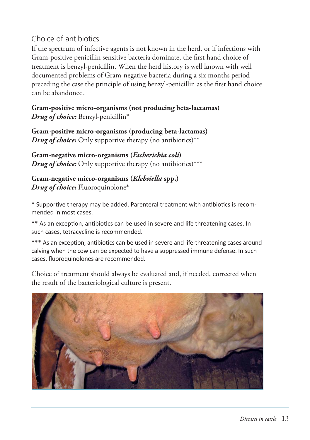#### Choice of antibiotics

If the spectrum of infective agents is not known in the herd, or if infections with Gram-positive penicillin sensitive bacteria dominate, the first hand choice of treatment is benzyl-penicillin. When the herd history is well known with well documented problems of Gram-negative bacteria during a six months period preceding the case the principle of using benzyl-penicillin as the first hand choice can be abandoned.

**Gram-positive micro-organisms (not producing beta-lactamas)**  *Drug of choice:* Benzyl-penicillin\*

**Gram-positive micro-organisms (producing beta-lactamas)** *Drug of choice:* Only supportive therapy (no antibiotics)\*\*

**Gram-negative micro-organisms (***Escherichia coli***)** *Drug of choice:* Only supportive therapy (no antibiotics)\*\*\*

**Gram-negative micro-organisms (***Klebsiella* **spp.)** *Drug of choice:* Fluoroquinolone\*

\* Supportive therapy may be added. Parenteral treatment with antibiotics is recommended in most cases.

\*\* As an exception, antibiotics can be used in severe and life threatening cases. In such cases, tetracycline is recommended.

\*\*\* As an exception, antibiotics can be used in severe and life-threatening cases around calving when the cow can be expected to have a suppressed immune defense. In such cases, fluoroquinolones are recommended.

Choice of treatment should always be evaluated and, if needed, corrected when the result of the bacteriological culture is present.

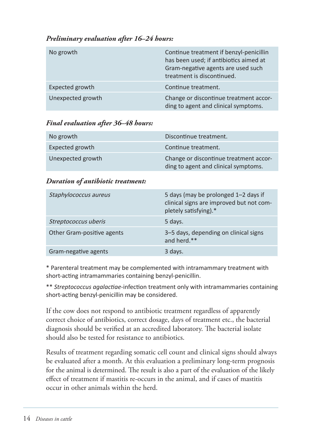#### *Preliminary evaluation after 16–24 hours:*

| No growth         | Continue treatment if benzyl-penicillin<br>has been used; if antibiotics aimed at<br>Gram-negative agents are used such<br>treatment is discontinued. |
|-------------------|-------------------------------------------------------------------------------------------------------------------------------------------------------|
| Expected growth   | Continue treatment.                                                                                                                                   |
| Unexpected growth | Change or discontinue treatment accor-<br>ding to agent and clinical symptoms.                                                                        |

#### *Final evaluation after 36–48 hours:*

| No growth         | Discontinue treatment.                                                         |
|-------------------|--------------------------------------------------------------------------------|
| Expected growth   | Continue treatment.                                                            |
| Unexpected growth | Change or discontinue treatment accor-<br>ding to agent and clinical symptoms. |

#### *Duration of antibiotic treatment:*

| Staphylococcus aureus      | 5 days (may be prolonged 1–2 days if<br>clinical signs are improved but not com-<br>pletely satisfying).* |
|----------------------------|-----------------------------------------------------------------------------------------------------------|
| Streptococcus uberis       | 5 days.                                                                                                   |
| Other Gram-positive agents | 3-5 days, depending on clinical signs<br>and herd.**                                                      |
| Gram-negative agents       | 3 days.                                                                                                   |

\* Parenteral treatment may be complemented with intramammary treatment with short-acting intramammaries containing benzyl-penicillin.

\*\* *Streptococcus agalactiae*-infection treatment only with intramammaries containing short-acting benzyl-penicillin may be considered.

If the cow does not respond to antibiotic treatment regardless of apparently correct choice of antibiotics, correct dosage, days of treatment etc., the bacterial diagnosis should be verified at an accredited laboratory. The bacterial isolate should also be tested for resistance to antibiotics.

Results of treatment regarding somatic cell count and clinical signs should always be evaluated after a month. At this evaluation a preliminary long-term prognosis for the animal is determined. The result is also a part of the evaluation of the likely effect of treatment if mastitis re-occurs in the animal, and if cases of mastitis occur in other animals within the herd.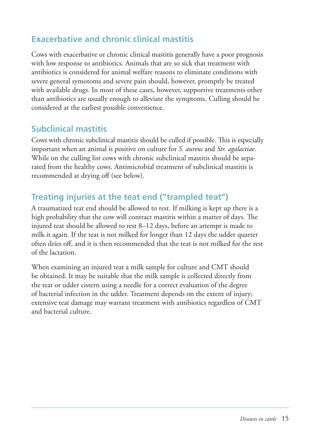## **Exacerbative and chronic clinical mastitis**

Cows with exacerbative or chronic clinical mastitis generally have a poor prognosis with low response to antibiotics. Animals that are so sick that treatment with antibiotics is considered for animal welfare reasons to eliminate conditions with severe general symotoms and severe pain should, however, promptly be treated with available drugs. In most of these cases, however, supportive treatments other than antibiotics are usually enough to alleviate the symptoms. Culling should be considered at the earliest possible convenience.

## **Subclinical mastitis**

Cows with chronic subclinical mastitis should be culled if possible. This is especially important when an animal is positive on culture for *S. aureus* and *Str. agalactiae*. While on the culling list cows with chronic subclinical mastitis should be separated from the healthy cows. Antimicrobial treatment of subclinical mastitis is recommended at drying off (see below).

## **Treating injuries at the teat end ("trampled teat")**

A traumatized teat end should be allowed to rest. If milking is kept up there is a high probability that the cow will contract mastitis within a matter of days. The injured teat should be allowed to rest 8–12 days, before an attempt is made to milk it again. If the teat is not milked for longer than 12 days the udder quarter often dries off , and it is then recommended that the teat is not milked for the rest of the lactation.

When examining an injured teat a milk sample for culture and CMT should be obtained. It may be suitable that the milk sample is collected directly from the teat or udder cistern using a needle for a correct evaluation of the degree of bacterial infection in the udder. Treatment depends on the extent of injury; extensive teat damage may warrant treatment with antibiotics regardless of CMT and bacterial culture.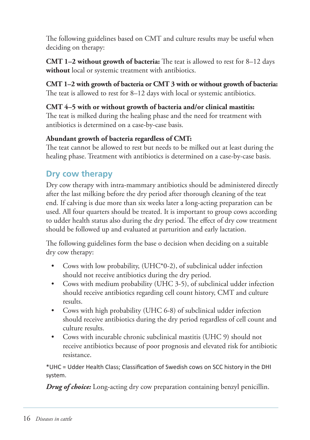The following guidelines based on CMT and culture results may be useful when deciding on therapy:

**CMT 1–2 without growth of bacteria:** The teat is allowed to rest for 8–12 days **without** local or systemic treatment with antibiotics.

**CMT 1–2 with growth of bacteria or CMT 3 with or without growth of bacteria:** The teat is allowed to rest for 8–12 days with local or systemic antibiotics.

#### **CMT 4–5 with or without growth of bacteria and/or clinical mastitis:**

The teat is milked during the healing phase and the need for treatment with antibiotics is determined on a case-by-case basis.

#### **Abundant growth of bacteria regardless of CMT:**

The teat cannot be allowed to rest but needs to be milked out at least during the healing phase. Treatment with antibiotics is determined on a case-by-case basis.

### **Dry cow therapy**

Dry cow therapy with intra-mammary antibiotics should be administered directly after the last milking before the dry period after thorough cleaning of the teat end. If calving is due more than six weeks later a long-acting preparation can be used. All four quarters should be treated. It is important to group cows according to udder health status also during the dry period. The effect of dry cow treatment should be followed up and evaluated at parturition and early lactation.

The following guidelines form the base o decision when deciding on a suitable dry cow therapy:

- Cows with low probability, (UHC\*0-2), of subclinical udder infection should not receive antibiotics during the dry period.
- Cows with medium probability (UHC 3-5), of subclinical udder infection should receive antibiotics regarding cell count history, CMT and culture results.
- Cows with high probability (UHC 6-8) of subclinical udder infection should receive antibiotics during the dry period regardless of cell count and culture results.
- Cows with incurable chronic subclinical mastitis (UHC 9) should not receive antibiotics because of poor prognosis and elevated risk for antibiotic resistance.

\*UHC = Udder Health Class; Classifi caƟ on of Swedish cows on SCC history in the DHI system.

*Drug of choice:* Long-acting dry cow preparation containing benzyl penicillin.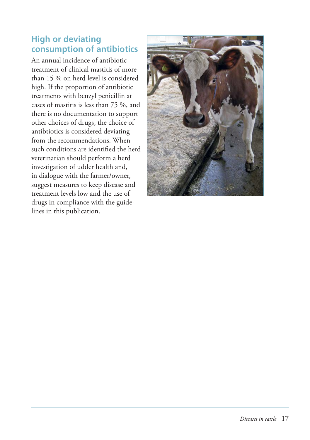### **High or deviating consumption of antibiotics**

An annual incidence of antibiotic treatment of clinical mastitis of more than 15 % on herd level is considered high. If the proportion of antibiotic treatments with benzyl penicillin at cases of mastitis is less than 75 %, and there is no documentation to support other choices of drugs, the choice of antibtiotics is considered deviating from the recommendations. When such conditions are identified the herd veterinarian should perform a herd investigation of udder health and, in dialogue with the farmer/owner, suggest measures to keep disease and treatment levels low and the use of drugs in compliance with the guidelines in this publication.

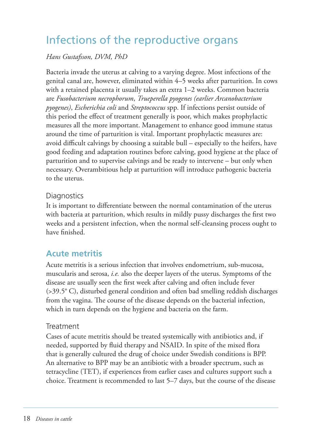## Infections of the reproductive organs

#### *Hans Gustafsson, DVM, PhD*

Bacteria invade the uterus at calving to a varying degree. Most infections of the genital canal are, however, eliminated within 4–5 weeks after parturition. In cows with a retained placenta it usually takes an extra 1–2 weeks. Common bacteria are *Fusobacterium necrophorum*, *Trueperella pyogenes (earlier Arcanobacterium pyogenes)*, *Escherichia coli* and *Streptococcus* spp. If infections persist outside of this period the effect of treatment generally is poor, which makes prophylactic measures all the more important. Management to enhance good immune status around the time of parturition is vital. Important prophylactic measures are: avoid difficult calvings by choosing a suitable bull – especially to the heifers, have good feeding and adaptation routines before calving, good hygiene at the place of parturition and to supervise calvings and be ready to intervene – but only when necessary. Overambitious help at parturition will introduce pathogenic bacteria to the uterus.

#### **Diagnostics**

It is important to differentiate between the normal contamination of the uterus with bacteria at parturition, which results in mildly pussy discharges the first two weeks and a persistent infection, when the normal self-cleansing process ought to have finished.

#### **Acute metritis**

Acute metritis is a serious infection that involves endometrium, sub-mucosa, muscularis and serosa, *i.e.* also the deeper layers of the uterus. Symptoms of the disease are usually seen the first week after calving and often include fever (>39.5° C), disturbed general condition and often bad smelling reddish discharges from the vagina. The course of the disease depends on the bacterial infection, which in turn depends on the hygiene and bacteria on the farm.

#### Treatment

Cases of acute metritis should be treated systemically with antibiotics and, if needed, supported by fluid therapy and NSAID. In spite of the mixed flora that is generally cultured the drug of choice under Swedish conditions is BPP. An alternative to BPP may be an antibiotic with a broader spectrum, such as tetracycline (TET), if experiences from earlier cases and cultures support such a choice. Treatment is recommended to last 5–7 days, but the course of the disease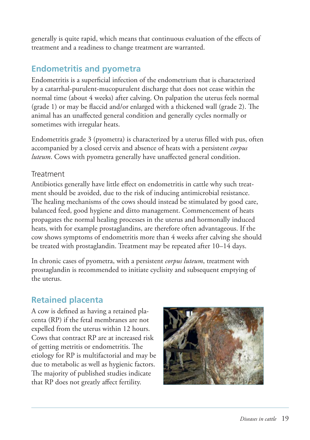generally is quite rapid, which means that continuous evaluation of the effects of treatment and a readiness to change treatment are warranted.

## **Endometritis and pyometra**

Endometritis is a superficial infection of the endometrium that is characterized by a catarrhal-purulent-mucopurulent discharge that does not cease within the normal time (about 4 weeks) after calving. On palpation the uterus feels normal (grade 1) or may be flaccid and/or enlarged with a thickened wall (grade 2). The animal has an unaffected general condition and generally cycles normally or sometimes with irregular heats.

Endometritis grade 3 (pyometra) is characterized by a uterus filled with pus, often accompanied by a closed cervix and absence of heats with a persistent *corpus luteum*. Cows with pyometra generally have unaffected general condition.

#### **Treatment**

Antibiotics generally have little effect on endometritis in cattle why such treatment should be avoided, due to the risk of inducing antimicrobial resistance. The healing mechanisms of the cows should instead be stimulated by good care, balanced feed, good hygiene and ditto management. Commencement of heats propagates the normal healing processes in the uterus and hormonally induced heats, with for example prostaglandins, are therefore often advantageous. If the cow shows symptoms of endometritis more than 4 weeks after calving she should be treated with prostaglandin. Treatment may be repeated after 10–14 days.

In chronic cases of pyometra, with a persistent *corpus luteum*, treatment with prostaglandin is recommended to initiate cyclisity and subsequent emptying of the uterus.

## **Retained placenta**

A cow is defined as having a retained placenta (RP) if the fetal membranes are not expelled from the uterus within 12 hours. Cows that contract RP are at increased risk of getting metritis or endometritis. The etiology for RP is multifactorial and may be due to metabolic as well as hygienic factors. The majority of published studies indicate that RP does not greatly affect fertility.

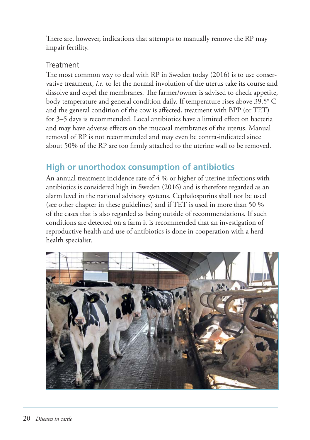There are, however, indications that attempts to manually remove the RP may impair fertility.

#### **Treatment**

The most common way to deal with  $RP$  in Sweden today (2016) is to use conservative treatment, *i.e.* to let the normal involution of the uterus take its course and dissolve and expel the membranes. The farmer/owner is advised to check appetite, body temperature and general condition daily. If temperature rises above 39.5° C and the general condition of the cow is affected, treatment with BPP (or TET) for 3–5 days is recommended. Local antibiotics have a limited effect on bacteria and may have adverse effects on the mucosal membranes of the uterus. Manual removal of RP is not recommended and may even be contra-indicated since about 50% of the RP are too firmly attached to the uterine wall to be removed.

## **High or unorthodox consumption of antibiotics**

An annual treatment incidence rate of 4 % or higher of uterine infections with antibiotics is considered high in Sweden (2016) and is therefore regarded as an alarm level in the national advisory systems. Cephalosporins shall not be used (see other chapter in these guidelines) and if TET is used in more than 50 % of the cases that is also regarded as being outside of recommendations. If such conditions are detected on a farm it is recommended that an investigation of reproductive health and use of antibiotics is done in cooperation with a herd health specialist.

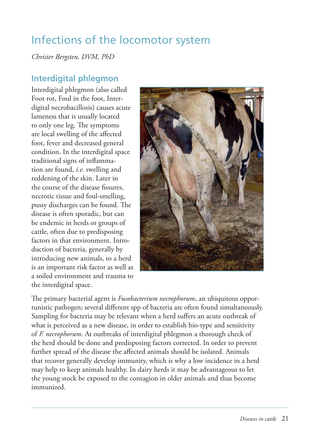## Infections of the locomotor system

*Christer Bergsten, DVM, PhD* 

#### **Interdigital phlegmon**

Interdigital phlegmon (also called Foot rot, Foul in the foot, Interdigital necrobacillosis) causes acute lameness that is usually located to only one leg. The symptoms are local swelling of the affected foot, fever and decreased general condition. In the interdigital space traditional signs of inflammation are found, *i.e.* swelling and reddening of the skin. Later in the course of the disease fissures. necrotic tissue and foul-smelling, pussy discharges can be found. The disease is often sporadic, but can be endemic in herds or groups of cattle, often due to predisposing factors in that environment. Introduction of bacteria, generally by introducing new animals, to a herd is an important risk factor as well as a soiled environment and trauma to the interdigital space.



The primary bacterial agent is *Fusobacterium necrophorum*, an ubiquitous opportunistic pathogen; several different spp of bacteria are often found simultaneously. Sampling for bacteria may be relevant when a herd suffers an acute outbreak of what is perceived as a new disease, in order to establish bio-type and sensitivity of *F. necrophorum*. At outbreaks of interdigital phlegmon a thorough check of the herd should be done and predisposing factors corrected. In order to prevent further spread of the disease the affected animals should be isolated. Animals that recover generally develop immunity, which is why a low incidence in a herd may help to keep animals healthy. In dairy herds it may be advantageous to let the young stock be exposed to the contagion in older animals and thus become immunized.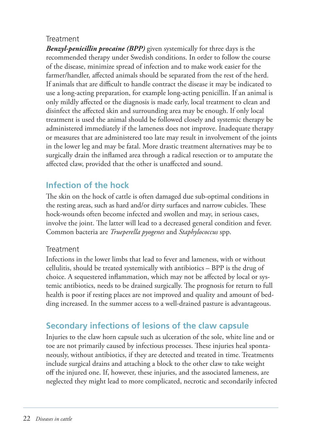#### **Treatment**

*Benzyl-penicillin procaine (BPP)* given systemically for three days is the recommended therapy under Swedish conditions. In order to follow the course of the disease, minimize spread of infection and to make work easier for the farmer/handler, affected animals should be separated from the rest of the herd. If animals that are difficult to handle contract the disease it may be indicated to use a long-acting preparation, for example long-acting penicillin. If an animal is only mildly affected or the diagnosis is made early, local treatment to clean and disinfect the affected skin and surrounding area may be enough. If only local treatment is used the animal should be followed closely and systemic therapy be administered immediately if the lameness does not improve. Inadequate therapy or measures that are administered too late may result in involvement of the joints in the lower leg and may be fatal. More drastic treatment alternatives may be to surgically drain the inflamed area through a radical resection or to amputate the affected claw, provided that the other is unaffected and sound.

## **Infection of the hock**

The skin on the hock of cattle is often damaged due sub-optimal conditions in the resting areas, such as hard and/or dirty surfaces and narrow cubicles. These hock-wounds often become infected and swollen and may, in serious cases, involve the joint. The latter will lead to a decreased general condition and fever. Common bacteria are *Trueperella pyogenes* and *Staphylococcus* spp.

#### Treatment

Infections in the lower limbs that lead to fever and lameness, with or without cellulitis, should be treated systemically with antibiotics – BPP is the drug of choice. A sequestered inflammation, which may not be affected by local or systemic antibiotics, needs to be drained surgically. The prognosis for return to full health is poor if resting places are not improved and quality and amount of bedding increased. In the summer access to a well-drained pasture is advantageous.

## **Secondary infections of lesions of the claw capsule**

Injuries to the claw horn capsule such as ulceration of the sole, white line and or toe are not primarily caused by infectious processes. These injuries heal spontaneously, without antibiotics, if they are detected and treated in time. Treatments include surgical drains and attaching a block to the other claw to take weight off the injured one. If, however, these injuries, and the associated lameness, are neglected they might lead to more complicated, necrotic and secondarily infected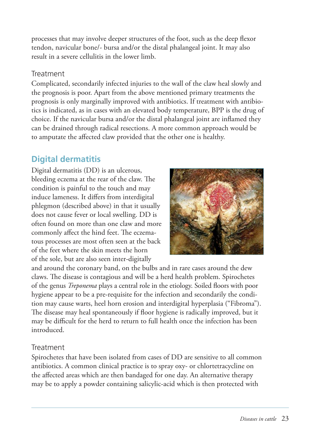processes that may involve deeper structures of the foot, such as the deep flexor tendon, navicular bone/- bursa and/or the distal phalangeal joint. It may also result in a severe cellulitis in the lower limb.

#### Treatment

Complicated, secondarily infected injuries to the wall of the claw heal slowly and the prognosis is poor. Apart from the above mentioned primary treatments the prognosis is only marginally improved with antibiotics. If treatment with antibiotics is indicated, as in cases with an elevated body temperature, BPP is the drug of choice. If the navicular bursa and/or the distal phalangeal joint are inflamed they can be drained through radical resections. A more common approach would be to amputate the affected claw provided that the other one is healthy.

### **Digital dermatitis**

Digital dermatitis (DD) is an ulcerous, bleeding eczema at the rear of the claw. The condition is painful to the touch and may induce lameness. It differs from interdigital phlegmon (described above) in that it usually does not cause fever or local swelling. DD is often found on more than one claw and more commonly affect the hind feet. The eczematous processes are most often seen at the back of the feet where the skin meets the horn of the sole, but are also seen inter-digitally



and around the coronary band, on the bulbs and in rare cases around the dew claws. The disease is contagious and will be a herd health problem. Spirochetes of the genus *Treponema* plays a central role in the etiology. Soiled floors with poor hygiene appear to be a pre-requisite for the infection and secondarily the condition may cause warts, heel horn erosion and interdigital hyperplasia ("Fibroma"). The disease may heal spontaneously if floor hygiene is radically improved, but it may be difficult for the herd to return to full health once the infection has been introduced.

#### Treatment

Spirochetes that have been isolated from cases of DD are sensitive to all common antibiotics. A common clinical practice is to spray oxy- or chlortetracycline on the affected areas which are then bandaged for one day. An alternative therapy may be to apply a powder containing salicylic-acid which is then protected with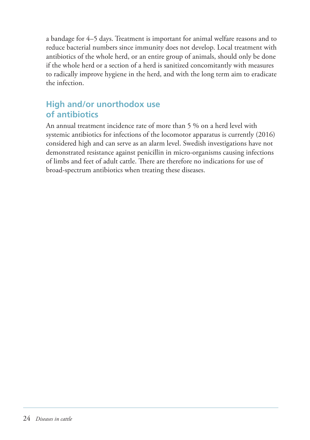a bandage for 4–5 days. Treatment is important for animal welfare reasons and to reduce bacterial numbers since immunity does not develop. Local treatment with antibiotics of the whole herd, or an entire group of animals, should only be done if the whole herd or a section of a herd is sanitized concomitantly with measures to radically improve hygiene in the herd, and with the long term aim to eradicate the infection.

## **High and/or unorthodox use of antibiotics**

An annual treatment incidence rate of more than 5 % on a herd level with systemic antibiotics for infections of the locomotor apparatus is currently (2016) considered high and can serve as an alarm level. Swedish investigations have not demonstrated resistance against penicillin in micro-organisms causing infections of limbs and feet of adult cattle. Th ere are therefore no indications for use of broad-spectrum antibiotics when treating these diseases.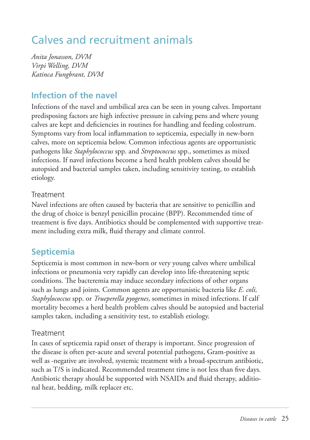## Calves and recruitment animals

*Anita Jonasson, DVM Virpi Welling, DVM Katinca Fungbrant, DVM* 

## **Infection of the navel**

Infections of the navel and umbilical area can be seen in young calves. Important predisposing factors are high infective pressure in calving pens and where young calves are kept and deficiencies in routines for handling and feeding colostrum. Symptoms vary from local inflammation to septicemia, especially in new-born calves, more on septicemia below. Common infectious agents are opportunistic pathogens like *Staphylococcus* spp. and *Streptococcus* spp., sometimes as mixed infections. If navel infections become a herd health problem calves should be autopsied and bacterial samples taken, including sensitivity testing, to establish etiology.

#### Treatment

Navel infections are often caused by bacteria that are sensitive to penicillin and the drug of choice is benzyl penicillin procaine (BPP). Recommended time of treatment is five days. Antibiotics should be complemented with supportive treatment including extra milk, fluid therapy and climate control.

## **Septicemia**

Septicemia is most common in new-born or very young calves where umbilical infections or pneumonia very rapidly can develop into life-threatening septic conditions. The bacteremia may induce secondary infections of other organs such as lungs and joints. Common agents are opportunistic bacteria like *E. coli, Staphylococcus* spp. or *Trueperella pyogenes*, sometimes in mixed infections. If calf mortality becomes a herd health problem calves should be autopsied and bacterial samples taken, including a sensitivity test, to establish etiology.

#### Treatment

In cases of septicemia rapid onset of therapy is important. Since progression of the disease is often per-acute and several potential pathogens, Gram-positive as well as -negative are involved, systemic treatment with a broad-spectrum antibiotic, such as T/S is indicated. Recommended treatment time is not less than five days. Antibiotic therapy should be supported with NSAIDs and fluid therapy, additional heat, bedding, milk replacer etc.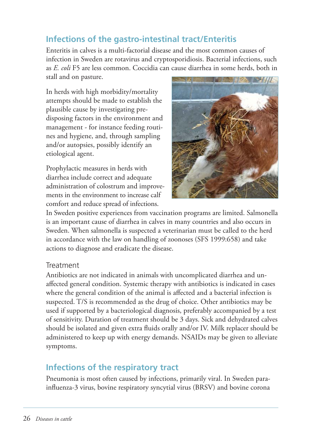## **Infections of the gastro-intestinal tract/Enteritis**

Enteritis in calves is a multi-factorial disease and the most common causes of infection in Sweden are rotavirus and cryptosporidiosis. Bacterial infections, such as *E. coli* F5 are less common. Coccidia can cause diarrhea in some herds, both in stall and on pasture.

In herds with high morbidity/mortality attempts should be made to establish the plausible cause by investigating predisposing factors in the environment and management - for instance feeding routines and hygiene, and, through sampling and/or autopsies, possibly identify an etiological agent.

Prophylactic measures in herds with diarrhea include correct and adequate administration of colostrum and improvements in the environment to increase calf comfort and reduce spread of infections.



In Sweden positive experiences from vaccination programs are limited. Salmonella is an important cause of diarrhea in calves in many countries and also occurs in Sweden. When salmonella is suspected a veterinarian must be called to the herd in accordance with the law on handling of zoonoses (SFS 1999:658) and take actions to diagnose and eradicate the disease.

#### **Treatment**

Antibiotics are not indicated in animals with uncomplicated diarrhea and unaffected general condition. Systemic therapy with antibiotics is indicated in cases where the general condition of the animal is affected and a bacterial infection is suspected. T/S is recommended as the drug of choice. Other antibiotics may be used if supported by a bacteriological diagnosis, preferably accompanied by a test of sensitivity. Duration of treatment should be 3 days. Sick and dehydrated calves should be isolated and given extra fluids orally and/or IV. Milk replacer should be administered to keep up with energy demands. NSAIDs may be given to alleviate symptoms.

### **Infections of the respiratory tract**

Pneumonia is most often caused by infections, primarily viral. In Sweden parainfluenza-3 virus, bovine respiratory syncytial virus (BRSV) and bovine corona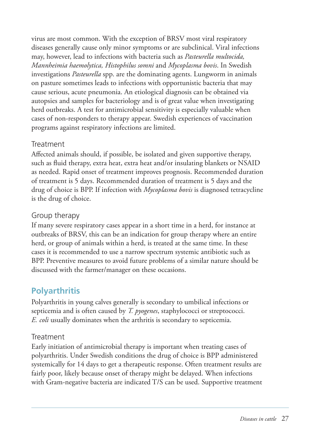virus are most common. With the exception of BRSV most viral respiratory diseases generally cause only minor symptoms or are subclinical. Viral infections may, however, lead to infections with bacteria such as *Pasteurella multocida, Mannheimia haemolytica, Histophilus somni* and *Mycoplasma bovis*. In Swedish investigations *Pasteurella* spp. are the dominating agents. Lungworm in animals on pasture sometimes leads to infections with opportunistic bacteria that may cause serious, acute pneumonia. An etiological diagnosis can be obtained via autopsies and samples for bacteriology and is of great value when investigating herd outbreaks. A test for antimicrobial sensitivity is especially valuable when cases of non- responders to therapy appear. Swedish experiences of vaccination programs against respiratory infections are limited.

#### **Treatment**

Aff ected animals should, if possible, be isolated and given supportive therapy, such as fluid therapy, extra heat, extra heat and/or insulating blankets or NSAID as needed. Rapid onset of treatment improves prognosis. Recommended duration of treatment is 5 days. Recommended duration of treatment is 5 days and the drug of choice is BPP. If infection with *Mycoplasma bovis* is diagnosed tetracycline is the drug of choice.

#### Group therapy

If many severe respiratory cases appear in a short time in a herd, for instance at outbreaks of BRSV, this can be an indication for group therapy where an entire herd, or group of animals within a herd, is treated at the same time. In these cases it is recommended to use a narrow spectrum systemic antibiotic such as BPP. Preventive measures to avoid future problems of a similar nature should be discussed with the farmer/manager on these occasions.

## **Polyarthritis**

Polyarthritis in young calves generally is secondary to umbilical infections or septicemia and is often caused by *T. pyogenes*, staphylococci or streptococci. *E. coli* usually dominates when the arthritis is secondary to septicemia.

#### **Treatment**

Early initiation of antimicrobial therapy is important when treating cases of polyarthritis. Under Swedish conditions the drug of choice is BPP administered systemically for 14 days to get a therapeutic response. Often treatment results are fairly poor, likely because onset of therapy might be delayed. When infections with Gram-negative bacteria are indicated T/S can be used. Supportive treatment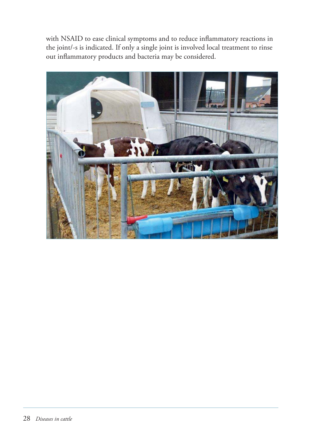with NSAID to ease clinical symptoms and to reduce inflammatory reactions in the joint/-s is indicated. If only a single joint is involved local treatment to rinse out inflammatory products and bacteria may be considered.

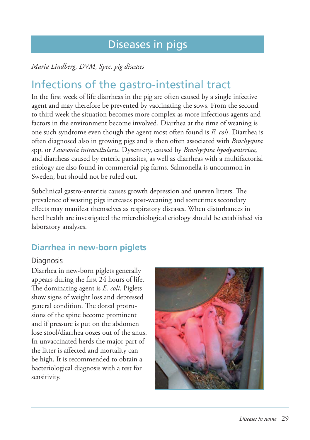## Diseases in pigs

#### *Maria Lindberg, DVM, Spec. pig diseases*

## Infections of the gastro-intestinal tract

In the first week of life diarrheas in the pig are often caused by a single infective agent and may therefore be prevented by vaccinating the sows. From the second to third week the situation becomes more complex as more infectious agents and factors in the environment become involved. Diarrhea at the time of weaning is one such syndrome even though the agent most often found is *E. coli*. Diarrhea is often diagnosed also in growing pigs and is then often associated with *Brachyspira* spp. or *Lawsonia intracellularis*. Dysentery, caused by *Brachyspira hyodysenteriae*, and diarrheas caused by enteric parasites, as well as diarrheas with a multifactorial etiology are also found in commercial pig farms. Salmonella is uncommon in Sweden, but should not be ruled out.

Subclinical gastro-enteritis causes growth depression and uneven litters. The prevalence of wasting pigs increases post-weaning and sometimes secondary effects may manifest themselves as respiratory diseases. When disturbances in herd health are investigated the microbiological etiology should be established via laboratory analyses.

## **Diarrhea in new-born piglets**

#### Diagnosis

Diarrhea in new-born piglets generally appears during the first 24 hours of life. The dominating agent is *E. coli*. Piglets show signs of weight loss and depressed general condition. The dorsal protrusions of the spine become prominent and if pressure is put on the abdomen lose stool/diarrhea oozes out of the anus. In unvaccinated herds the major part of the litter is affected and mortality can be high. It is recommended to obtain a bacteriological diagnosis with a test for sensitivity.

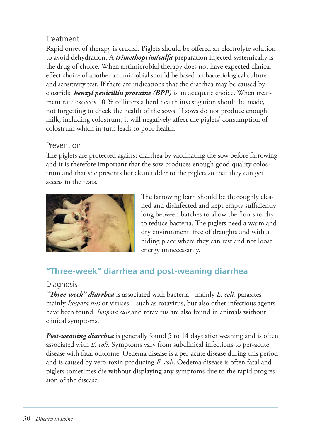#### **Treatment**

Rapid onset of therapy is crucial. Piglets should be offered an electrolyte solution to avoid dehydration. A *trimethoprim/sulfa* preparation injected systemically is the drug of choice. When antimicrobial therapy does not have expected clinical effect choice of another antimicrobial should be based on bacteriological culture and sensitivity test. If there are indications that the diarrhea may be caused by clostridia *benzyl penicillin procaine (BPP)* is an adequate choice. When treatment rate exceeds 10 % of litters a herd health investigation should be made, not forgetting to check the health of the sows. If sows do not produce enough milk, including colostrum, it will negatively affect the piglets' consumption of colostrum which in turn leads to poor health.

#### Prevention

The piglets are protected against diarrhea by vaccinating the sow before farrowing and it is therefore important that the sow produces enough good quality colostrum and that she presents her clean udder to the piglets so that they can get access to the teats.



The farrowing barn should be thoroughly cleaned and disinfected and kept empty sufficiently long between batches to allow the floors to dry to reduce bacteria. The piglets need a warm and dry environment, free of draughts and with a hiding place where they can rest and not loose energy unnecessarily.

## **"Three-week" diarrhea and post-weaning diarrhea**

#### Diagnosis

*"Th ree-week" diarrhea* is associated with bacteria - mainly *E. coli*, parasites – mainly *Isospora suis* or viruses – such as rotavirus, but also other infectious agents have been found. *Isospora suis* and rotavirus are also found in animals without clinical symptoms.

*Post-weaning diarrhea* is generally found 5 to 14 days after weaning and is often associated with *E. coli*. Symptoms vary from subclinical infections to per-acute disease with fatal outcome. Oedema disease is a per-acute disease during this period and is caused by vero-toxin producing *E. coli*. Oedema disease is often fatal and piglets sometimes die without displaying any symptoms due to the rapid progression of the disease.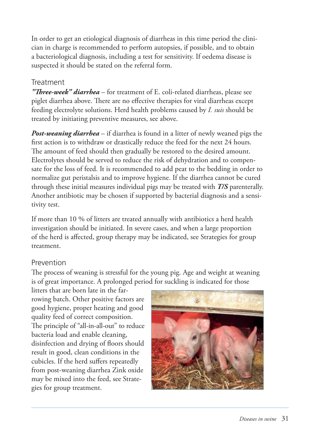In order to get an etiological diagnosis of diarrheas in this time period the clinician in charge is recommended to perform autopsies, if possible, and to obtain a bacteriological diagnosis, including a test for sensitivity. If oedema disease is suspected it should be stated on the referral form.

#### **Treatment**

*"Th ree-week" diarrhea* – for treatment of E. coli-related diarrheas, please see piglet diarrhea above. There are no effective therapies for viral diarrheas except feeding electrolyte solutions. Herd health problems caused by *I. suis* should be treated by initiating preventive measures, see above.

*Post-weaning diarrhea* – if diarrhea is found in a litter of newly weaned pigs the first action is to withdraw or drastically reduce the feed for the next 24 hours. The amount of feed should then gradually be restored to the desired amount. Electrolytes should be served to reduce the risk of dehydration and to compensate for the loss of feed. It is recommended to add peat to the bedding in order to normalize gut peristalsis and to improve hygiene. If the diarrhea cannot be cured through these initial measures individual pigs may be treated with *T/S* parenterally. Another antibiotic may be chosen if supported by bacterial diagnosis and a sensitivity test.

If more than 10 % of litters are treated annually with antibiotics a herd health investigation should be initiated. In severe cases, and when a large proportion of the herd is affected, group therapy may be indicated, see Strategies for group treatment.

#### Prevention

The process of weaning is stressful for the young pig. Age and weight at weaning is of great importance. A prolonged period for suckling is indicated for those

litters that are born late in the farrowing batch. Other positive factors are good hygiene, proper heating and good quality feed of correct composition. The principle of "all-in-all-out" to reduce bacteria load and enable cleaning, disinfection and drying of floors should result in good, clean conditions in the cubicles. If the herd suffers repeatedly from post-weaning diarrhea Zink oxide may be mixed into the feed, see Strategies for group treatment.

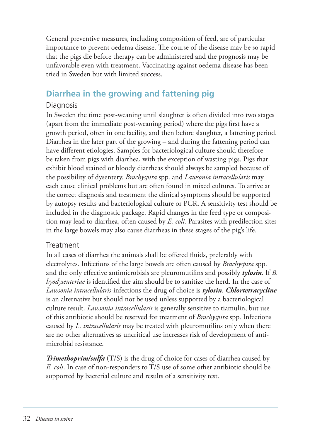General preventive measures, including composition of feed, are of particular importance to prevent oedema disease. The course of the disease may be so rapid that the pigs die before therapy can be administered and the prognosis may be unfavorable even with treatment. Vaccinating against oedema disease has been tried in Sweden but with limited success.

## **Diarrhea in the growing and fattening pig**

#### Diagnosis

In Sweden the time post-weaning until slaughter is often divided into two stages (apart from the immediate post-weaning period) where the pigs first have a growth period, often in one facility, and then before slaughter, a fattening period. Diarrhea in the later part of the growing – and during the fattening period can have different etiologies. Samples for bacteriological culture should therefore be taken from pigs with diarrhea, with the exception of wasting pigs. Pigs that exhibit blood stained or bloody diarrheas should always be sampled because of the possibility of dysentery. *Brachyspira* spp. and *Lawsonia intracellularis* may each cause clinical problems but are often found in mixed cultures. To arrive at the correct diagnosis and treatment the clinical symptoms should be supported by autopsy results and bacteriological culture or PCR. A sensitivity test should be included in the diagnostic package. Rapid changes in the feed type or composition may lead to diarrhea, often caused by *E. coli.* Parasites with predilection sites in the large bowels may also cause diarrheas in these stages of the pig's life.

#### **Treatment**

In all cases of diarrhea the animals shall be offered fluids, preferably with electrolytes. Infections of the large bowels are often caused by *Brachyspira* spp. and the only effective antimicrobials are pleuromutilins and possibly **tylosin**. If *B*. *hyodysenteriae* is identified the aim should be to sanitize the herd. In the case of *Lawsonia intracellularis*-infections the drug of choice is *tylosin*. *Chlortetracycline* is an alternative but should not be used unless supported by a bacteriological culture result. *Lawsonia intracellularis* is generally sensitive to tiamulin, but use of this antibiotic should be reserved for treatment of *Brachyspira* spp. Infections caused by *L. intracellularis* may be treated with pleuromutilins only when there are no other alternatives as uncritical use increases risk of development of antimicrobial resistance.

*Trimethoprim/sulfa* (T/S) is the drug of choice for cases of diarrhea caused by *E. coli*. In case of non-responders to T/S use of some other antibiotic should be supported by bacterial culture and results of a sensitivity test.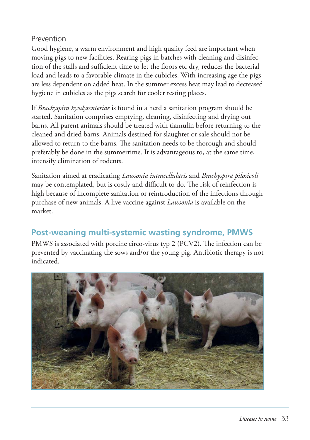#### Prevention

Good hygiene, a warm environment and high quality feed are important when moving pigs to new facilities. Rearing pigs in batches with cleaning and disinfection of the stalls and sufficient time to let the floors etc dry, reduces the bacterial load and leads to a favorable climate in the cubicles. With increasing age the pigs are less dependent on added heat. In the summer excess heat may lead to decreased hygiene in cubicles as the pigs search for cooler resting places.

If *Brachyspira hyodysenteriae* is found in a herd a sanitation program should be started. Sanitation comprises emptying, cleaning, disinfecting and drying out barns. All parent animals should be treated with tiamulin before returning to the cleaned and dried barns. Animals destined for slaughter or sale should not be allowed to return to the barns. The sanitation needs to be thorough and should preferably be done in the summertime. It is advantageous to, at the same time, intensify elimination of rodents.

Sanitation aimed at eradicating *Lawsonia intracellularis* and *Brachyspira pilosicoli* may be contemplated, but is costly and difficult to do. The risk of reinfection is high because of incomplete sanitation or reintroduction of the infections through purchase of new animals. A live vaccine against *Lawsonia* is available on the market.

## **Post-weaning multi-systemic wasting syndrome, PMWS**

PMWS is associated with porcine circo-virus typ 2 (PCV2). The infection can be prevented by vaccinating the sows and/or the young pig. Antibiotic therapy is not indicated.

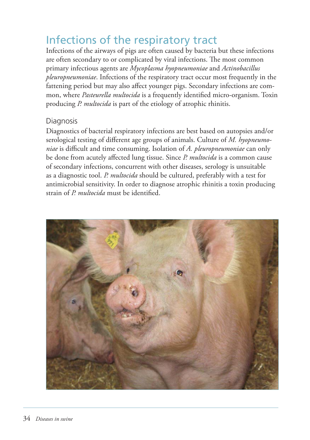## Infections of the respiratory tract

Infections of the airways of pigs are often caused by bacteria but these infections are often secondary to or complicated by viral infections. The most common primary infectious agents are *Mycoplasma hyopneumoniae* and *Actinobacillus pleuropneumoniae*. Infections of the respiratory tract occur most frequently in the fattening period but may also affect younger pigs. Secondary infections are common, where *Pasteurella multocida* is a frequently identified micro-organism. Toxin producing *P. multocida* is part of the etiology of atrophic rhinitis.

#### Diagnosis

Diagnostics of bacterial respiratory infections are best based on autopsies and/or serological testing of different age groups of animals. Culture of *M. hyopneumoniae* is difficult and time consuming. Isolation of *A. pleuropneumoniae* can only be done from acutely aff ected lung tissue. Since *P. multocida* is a common cause of secondary infections, concurrent with other diseases, serology is unsuitable as a diagnostic tool. *P. multocida* should be cultured, preferably with a test for antimicrobial sensitivity. In order to diagnose atrophic rhinitis a toxin producing strain of *P. multocida* must be identified.

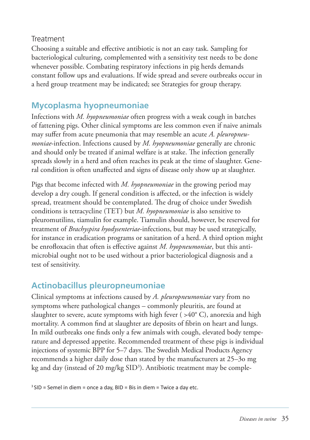#### Treatment

Choosing a suitable and effective antibiotic is not an easy task. Sampling for bacteriological culturing, complemented with a sensitivity test needs to be done whenever possible. Combating respiratory infections in pig herds demands constant follow ups and evaluations. If wide spread and severe outbreaks occur in a herd group treatment may be indicated; see Strategies for group therapy.

## **Mycoplasma hyopneumoniae**

Infections with *M. hyopneumoniae* often progress with a weak cough in batches of fattening pigs. Other clinical symptoms are less common even if naive animals may suffer from acute pneumonia that may resemble an acute A. *pleuropneumoniae*-infection. Infections caused by *M. hyopneumoniae* generally are chronic and should only be treated if animal welfare is at stake. The infection generally spreads slowly in a herd and often reaches its peak at the time of slaughter. General condition is often unaffected and signs of disease only show up at slaughter.

Pigs that become infected with *M. hyopneumoniae* in the growing period may develop a dry cough. If general condition is affected, or the infection is widely spread, treatment should be contemplated. The drug of choice under Swedish conditions is tetracycline (TET) but *M. hyopneumoniae* is also sensitive to pleuromutilins, tiamulin for example. Tiamulin should, however, be reserved for treatment of *Brachyspira hyodysenteriae*-infections, but may be used strategically, for instance in eradication programs or sanitation of a herd. A third option might be enrofloxacin that often is effective against *M. hyopneumoniae*, but this antimicrobial ought not to be used without a prior bacteriological diagnosis and a test of sensitivity.

## **Actinobacillus pleuropneumoniae**

Clinical symptoms at infections caused by *A. pleuropneumoniae* vary from no symptoms where pathological changes – commonly pleuritis, are found at slaughter to severe, acute symptoms with high fever ( $>40^{\circ}$  C), anorexia and high mortality. A common find at slaughter are deposits of fibrin on heart and lungs. In mild outbreaks one finds only a few animals with cough, elevated body temperature and depressed appetite. Recommended treatment of these pigs is individual injections of systemic BPP for 5–7 days. The Swedish Medical Products Agency recommends a higher daily dose than stated by the manufacturers at 25–3o mg kg and day (instead of 20 mg/kg SID<sup>3</sup>). Antibiotic treatment may be comple-

 $3$  SID = Semel in diem = once a day, BID = Bis in diem = Twice a day etc.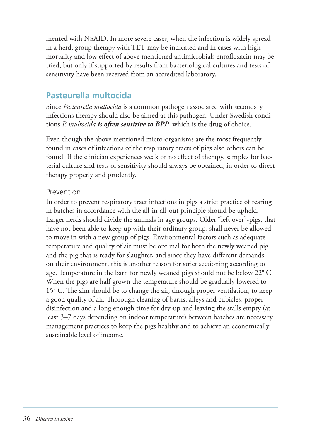mented with NSAID. In more severe cases, when the infection is widely spread in a herd, group therapy with TET may be indicated and in cases with high mortality and low effect of above mentioned antimicrobials enrofloxacin may be tried, but only if supported by results from bacteriological cultures and tests of sensitivity have been received from an accredited laboratory.

### **Pasteurella multocida**

Since *Pasteurella multocida* is a common pathogen associated with secondary infections therapy should also be aimed at this pathogen. Under Swedish conditions *P. multocida is often sensitive to BPP*, which is the drug of choice.

Even though the above mentioned micro-organisms are the most frequently found in cases of infections of the respiratory tracts of pigs also others can be found. If the clinician experiences weak or no effect of therapy, samples for bacterial culture and tests of sensitivity should always be obtained, in order to direct therapy properly and prudently.

#### Prevention

In order to prevent respiratory tract infections in pigs a strict practice of rearing in batches in accordance with the all-in-all-out principle should be upheld. Larger herds should divide the animals in age groups. Older "left over"-pigs, that have not been able to keep up with their ordinary group, shall never be allowed to move in with a new group of pigs. Environmental factors such as adequate temperature and quality of air must be optimal for both the newly weaned pig and the pig that is ready for slaughter, and since they have different demands on their environment, this is another reason for strict sectioning according to age. Temperature in the barn for newly weaned pigs should not be below 22° C. When the pigs are half grown the temperature should be gradually lowered to  $15^{\circ}$  C. The aim should be to change the air, through proper ventilation, to keep a good quality of air. Thorough cleaning of barns, alleys and cubicles, proper disinfection and a long enough time for dry-up and leaving the stalls empty (at least 3–7 days depending on indoor temperature) between batches are necessary management practices to keep the pigs healthy and to achieve an economically sustainable level of income.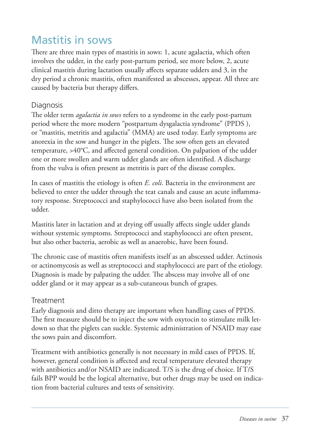## Mastitis in sows

There are three main types of mastitis in sows: 1, acute agalactia, which often involves the udder, in the early post-partum period, see more below, 2, acute clinical mastitis during lactation usually affects separate udders and 3, in the dry period a chronic mastitis, often manifested as abscesses, appear. All three are caused by bacteria but therapy differs.

#### Diagnosis

The older term *agalactia in sows* refers to a syndrome in the early post-partum period where the more modern "postpartum dysgalactia syndrome" (PPDS ), or "mastitis, metritis and agalactia" (MMA) are used today. Early symptoms are anorexia in the sow and hunger in the piglets. The sow often gets an elevated temperature,  $>40^{\circ}$ C, and affected general condition. On palpation of the udder one or more swollen and warm udder glands are often identified. A discharge from the vulva is often present as metritis is part of the disease complex.

In cases of mastitis the etiology is often *E. coli*. Bacteria in the environment are believed to enter the udder through the teat canals and cause an acute inflammatory response. Streptococci and staphylococci have also been isolated from the udder.

Mastitis later in lactation and at drying off usually affects single udder glands without systemic symptoms. Streptococci and staphylococci are often present, but also other bacteria, aerobic as well as anaerobic, have been found.

The chronic case of mastitis often manifests itself as an abscessed udder. Actinosis or actinomycosis as well as streptococci and staphylococci are part of the etiology. Diagnosis is made by palpating the udder. The abscess may involve all of one udder gland or it may appear as a sub-cutaneous bunch of grapes.

#### **Treatment**

Early diagnosis and ditto therapy are important when handling cases of PPDS. The first measure should be to inject the sow with oxytocin to stimulate milk letdown so that the piglets can suckle. Systemic administration of NSAID may ease the sows pain and discomfort.

Treatment with antibiotics generally is not necessary in mild cases of PPDS. If, however, general condition is affected and rectal temperature elevated therapy with antibiotics and/or NSAID are indicated. T/S is the drug of choice. If T/S fails BPP would be the logical alternative, but other drugs may be used on indication from bacterial cultures and tests of sensitivity.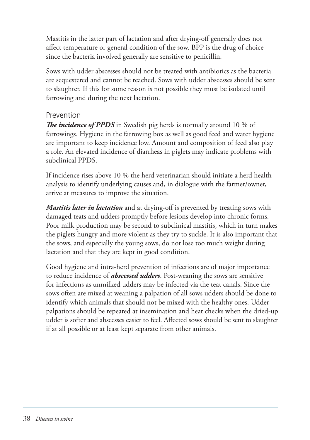Mastitis in the latter part of lactation and after drying-off generally does not affect temperature or general condition of the sow. BPP is the drug of choice since the bacteria involved generally are sensitive to penicillin.

Sows with udder abscesses should not be treated with antibiotics as the bacteria are sequestered and cannot be reached. Sows with udder abscesses should be sent to slaughter. If this for some reason is not possible they must be isolated until farrowing and during the next lactation.

#### Prevention

**The incidence of PPDS** in Swedish pig herds is normally around 10 % of farrowings. Hygiene in the farrowing box as well as good feed and water hygiene are important to keep incidence low. Amount and composition of feed also play a role. An elevated incidence of diarrheas in piglets may indicate problems with subclinical PPDS.

If incidence rises above 10 % the herd veterinarian should initiate a herd health analysis to identify underlying causes and, in dialogue with the farmer/owner, arrive at measures to improve the situation.

*Mastitis later in lactation* and at drying-off is prevented by treating sows with damaged teats and udders promptly before lesions develop into chronic forms. Poor milk production may be second to subclinical mastitis, which in turn makes the piglets hungry and more violent as they try to suckle. It is also important that the sows, and especially the young sows, do not lose too much weight during lactation and that they are kept in good condition.

Good hygiene and intra-herd prevention of infections are of major importance to reduce incidence of *abscessed udders*. Post-weaning the sows are sensitive for infections as unmilked udders may be infected via the teat canals. Since the sows often are mixed at weaning a palpation of all sows udders should be done to identify which animals that should not be mixed with the healthy ones. Udder palpations should be repeated at insemination and heat checks when the dried-up udder is softer and abscesses easier to feel. Affected sows should be sent to slaughter if at all possible or at least kept separate from other animals.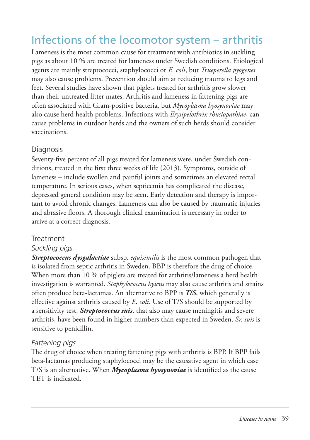## Infections of the locomotor system – arthritis

Lameness is the most common cause for treatment with antibiotics in suckling pigs as about 10 % are treated for lameness under Swedish conditions. Etiological agents are mainly streptococci, staphylococci or *E. coli*, but *Trueperella pyogenes* may also cause problems. Prevention should aim at reducing trauma to legs and feet. Several studies have shown that piglets treated for arthritis grow slower than their untreated litter mates. Arthritis and lameness in fattening pigs are often associated with Gram-positive bacteria, but *Mycoplasma hyosynoviae* may also cause herd health problems. Infections with *Erysipelothrix rhusiopathiae*, can cause problems in outdoor herds and the owners of such herds should consider vaccinations.

#### Diagnosis

Seventy-five percent of all pigs treated for lameness were, under Swedish conditions, treated in the first three weeks of life  $(2013)$ . Symptoms, outside of lameness – include swollen and painful joints and sometimes an elevated rectal temperature. In serious cases, when septicemia has complicated the disease, depressed general condition may be seen. Early detection and therapy is important to avoid chronic changes. Lameness can also be caused by traumatic injuries and abrasive floors. A thorough clinical examination is necessary in order to arrive at a correct diagnosis.

#### **Treatment**

#### *Suckling pigs*

*Streptococcus dysgalactiae* subsp. *equisimilis* is the most common pathogen that is isolated from septic arthritis in Sweden. BBP is therefore the drug of choice. When more than 10 % of piglets are treated for arthritis/lameness a herd health investigation is warranted. *Staphylococcus hyicus* may also cause arthritis and strains often produce beta-lactamas. An alternative to BPP is *T/S*, which generally is effective against arthritis caused by *E. coli*. Use of T/S should be supported by a sensitivity test. *Streptococcus suis*, that also may cause meningitis and severe arthritis, have been found in higher numbers than expected in Sweden. *Sr. suis* is sensitive to penicillin.

#### *Fattening pigs*

The drug of choice when treating fattening pigs with arthritis is BPP. If BPP fails beta-lactamas producing staphylococci may be the causative agent in which case T/S is an alternative. When *Mycoplasma hyosynoviae* is identified as the cause TET is indicated.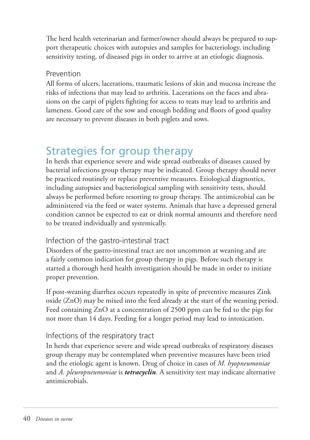The herd health veterinarian and farmer/owner should always be prepared to support therapeutic choices with autopsies and samples for bacteriology, including sensitivity testing, of diseased pigs in order to arrive at an etiologic diagnosis.

#### Prevention

All forms of ulcers, lacerations, traumatic lesions of skin and mucosa increase the risks of infections that may lead to arthritis. Lacerations on the faces and abrasions on the carpi of piglets fighting for access to teats may lead to arthritis and lameness. Good care of the sow and enough bedding and floors of good quality are necessary to prevent diseases in both piglets and sows.

## Strategies for group therapy

In herds that experience severe and wide spread outbreaks of diseases caused by bacterial infections group therapy may be indicated. Group therapy should never be practiced routinely or replace preventive measures. Etiological diagnostics, including autopsies and bacteriological sampling with sensitivity tests, should always be performed before resorting to group therapy. The antimicrobial can be administered via the feed or water systems. Animals that have a depressed general condition cannot be expected to eat or drink normal amounts and therefore need to be treated individually and systemically.

#### Infection of the gastro-intestinal tract

Disorders of the gastro-intestinal tract are not uncommon at weaning and are a fairly common indication for group therapy in pigs. Before such therapy is started a thorough herd health investigation should be made in order to initiate proper prevention.

If post-weaning diarrhea occurs repeatedly in spite of preventive measures Zink oxide (ZnO) may be mixed into the feed already at the start of the weaning period. Feed containing ZnO at a concentration of 2500 ppm can be fed to the pigs for not more than 14 days. Feeding for a longer period may lead to intoxication.

#### Infections of the respiratory tract

In herds that experience severe and wide spread outbreaks of respiratory diseases group therapy may be contemplated when preventive measures have been tried and the etiologic agent is known. Drug of choice in cases of *M. hyopneumoniae* and *A. pleuropneumoniae* is *tetracyclin*. A sensitivity test may indicate alternative antimicrobials.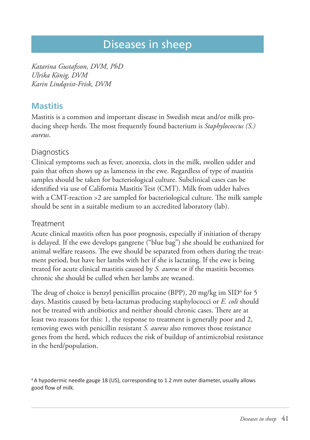## Diseases in sheep

*Katarina Gustafsson, DVM, PhD Ulrika König, DVM Karin Lindqvist-Frisk, DVM*

### **Mastitis**

Mastitis is a common and important disease in Swedish meat and/or milk producing sheep herds. The most frequently found bacterium is *Staphylococcus* (S.) *aureus*.

#### **Diagnostics**

Clinical symptoms such as fever, anorexia, clots in the milk, swollen udder and pain that often shows up as lameness in the ewe. Regardless of type of mastitis samples should be taken for bacteriological culture. Subclinical cases can be identified via use of California Mastitis Test (CMT). Milk from udder halves with a CMT-reaction  $>2$  are sampled for bacteriological culture. The milk sample should be sent in a suitable medium to an accredited laboratory (lab).

#### **Treatment**

Acute clinical mastitis often has poor prognosis, especially if initiation of therapy is delayed. If the ewe develops gangrene ("blue bag") she should be euthanized for animal welfare reasons. The ewe should be separated from others during the treatment period, but have her lambs with her if she is lactating. If the ewe is being treated for acute clinical mastitis caused by *S. aureus* or if the mastitis becomes chronic she should be culled when her lambs are weaned.

The drug of choice is benzyl penicillin procaine (BPP), 20 mg/kg im  $\text{SID}^4$  for 5 days. Mastitis caused by beta-lactamas producing staphylococci or *E. coli* should not be treated with antibiotics and neither should chronic cases. There are at least two reasons for this: 1, the response to treatment is generally poor and 2, removing ewes with penicillin resistant *S. aureus* also removes those resistance genes from the herd, which reduces the risk of buildup of antimicrobial resistance in the herd/population.

<sup>4</sup> A hypodermic needle gauge 18 (US), corresponding to 1.2 mm outer diameter, usually allows good flow of milk.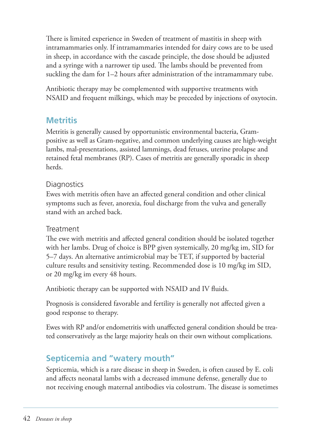There is limited experience in Sweden of treatment of mastitis in sheep with intramammaries only. If intramammaries intended for dairy cows are to be used in sheep, in accordance with the cascade principle, the dose should be adjusted and a syringe with a narrower tip used. The lambs should be prevented from suckling the dam for 1–2 hours after administration of the intramammary tube.

Antibiotic therapy may be complemented with supportive treatments with NSAID and frequent milkings, which may be preceded by injections of oxytocin.

### **Metritis**

Metritis is generally caused by opportunistic environmental bacteria, Grampositive as well as Gram-negative, and common underlying causes are high-weight lambs, mal-presentations, assisted lammings, dead fetuses, uterine prolapse and retained fetal membranes (RP). Cases of metritis are generally sporadic in sheep herds.

#### **Diagnostics**

Ewes with metritis often have an affected general condition and other clinical symptoms such as fever, anorexia, foul discharge from the vulva and generally stand with an arched back.

#### Treatment

The ewe with metritis and affected general condition should be isolated together with her lambs. Drug of choice is BPP given systemically, 20 mg/kg im, SID for 5–7 days. An alternative antimicrobial may be TET, if supported by bacterial culture results and sensitivity testing. Recommended dose is 10 mg/kg im SID, or 20 mg/kg im every 48 hours.

Antibiotic therapy can be supported with NSAID and IV fluids.

Prognosis is considered favorable and fertility is generally not affected given a good response to therapy.

Ewes with RP and/or endometritis with unaffected general condition should be treated conservatively as the large majority heals on their own without complications.

## **Septicemia and "watery mouth"**

Septicemia, which is a rare disease in sheep in Sweden, is often caused by E. coli and affects neonatal lambs with a decreased immune defense, generally due to not receiving enough maternal antibodies via colostrum. The disease is sometimes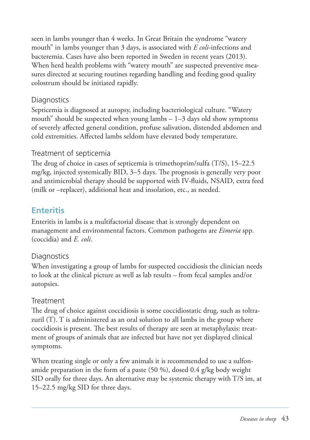seen in lambs younger than 4 weeks. In Great Britain the syndrome "watery mouth" in lambs younger than 3 days, is associated with *E coli*-infections and bacteremia. Cases have also been reported in Sweden in recent years (2013). When herd health problems with "watery mouth" are suspected preventive measures directed at securing routines regarding handling and feeding good quality colostrum should be initiated rapidly.

#### **Diagnostics**

Septicemia is diagnosed at autopsy, including bacteriological culture. "Watery mouth" should be suspected when young lambs – 1–3 days old show symptoms of severely affected general condition, profuse salivation, distended abdomen and cold extremities. Affected lambs seldom have elevated body temperature.

### Treatment of septicemia

The drug of choice in cases of septicemia is trimethoprim/sulfa (T/S), 15-22.5 mg/kg, injected systemically  $BID$ ,  $3–5$  days. The prognosis is generally very poor and antimicrobial therapy should be supported with IV-fluids, NSAID, extra feed (milk or –replacer), additional heat and insolation, etc., as needed.

## **Enteritis**

Enteritis in lambs is a multifactorial disease that is strongly dependent on management and environmental factors. Common pathogens are *Eimeria* spp. (coccidia) and *E. coli*.

#### **Diagnostics**

When investigating a group of lambs for suspected coccidiosis the clinician needs to look at the clinical picture as well as lab results – from fecal samples and/or autopsies.

### Treatment

The drug of choice against coccidiosis is some coccidiostatic drug, such as toltrazuril (T). T is administered as an oral solution to all lambs in the group where coccidiosis is present. The best results of therapy are seen at metaphylaxis: treatment of groups of animals that are infected but have not yet displayed clinical symptoms.

When treating single or only a few animals it is recommended to use a sulfonamide preparation in the form of a paste (50 %), dosed 0.4 g/kg body weight SID orally for three days. An alternative may be systemic therapy with T/S im, at 15–22.5 mg/kg SID for three days.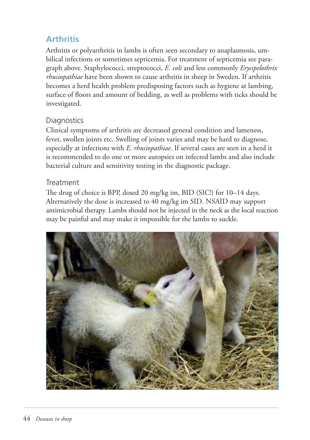## **Arthritis**

Arthritis or polyarthritis in lambs is often seen secondary to anaplasmosis, umbilical infections or sometimes septicemia. For treatment of septicemia see paragraph above. Staphylococci, streptococci, *E. coli* and less commonly *Erysipelothrix rhusiopathiae* have been shown to cause arthritis in sheep in Sweden. If arthritis becomes a herd health problem predisposing factors such as hygiene at lambing, surface of floors and amount of bedding, as well as problems with ticks should be investigated.

#### **Diagnostics**

Clinical symptoms of arthritis are decreased general condition and lameness, fever, swollen joints etc. Swelling of joints varies and may be hard to diagnose, especially at infections with *E. rhusiopathiae*. If several cases are seen in a herd it is recommended to do one or more autopsies on infected lambs and also include bacterial culture and sensitivity testing in the diagnostic package.

#### **Treatment**

The drug of choice is BPP, dosed 20 mg/kg im, BID (SIC!) for 10–14 days. Alternatively the dose is increased to 40 mg/kg im SID. NSAID may support antimicrobial therapy. Lambs should not be injected in the neck as the local reaction may be painful and may make it impossible for the lambs to suckle.

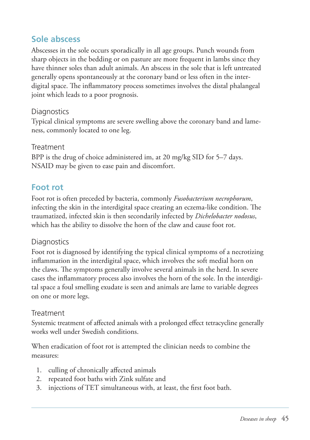## **Sole abscess**

Abscesses in the sole occurs sporadically in all age groups. Punch wounds from sharp objects in the bedding or on pasture are more frequent in lambs since they have thinner soles than adult animals. An abscess in the sole that is left untreated generally opens spontaneously at the coronary band or less often in the interdigital space. The inflammatory process sometimes involves the distal phalangeal joint which leads to a poor prognosis.

#### **Diagnostics**

Typical clinical symptoms are severe swelling above the coronary band and lameness, commonly located to one leg.

#### **Treatment**

BPP is the drug of choice administered im, at 20 mg/kg SID for 5–7 days. NSAID may be given to ease pain and discomfort.

### **Foot rot**

Foot rot is often preceded by bacteria, commonly *Fusobacterium necrophorum*, infecting the skin in the interdigital space creating an eczema-like condition. The traumatized, infected skin is then secondarily infected by *Dichelobacter nodosus*, which has the ability to dissolve the horn of the claw and cause foot rot.

#### **Diagnostics**

Foot rot is diagnosed by identifying the typical clinical symptoms of a necrotizing inflammation in the interdigital space, which involves the soft medial horn on the claws. The symptoms generally involve several animals in the herd. In severe cases the inflammatory process also involves the horn of the sole. In the interdigital space a foul smelling exudate is seen and animals are lame to variable degrees on one or more legs.

#### Treatment

Systemic treatment of affected animals with a prolonged effect tetracycline generally works well under Swedish conditions.

When eradication of foot rot is attempted the clinician needs to combine the measures:

- 1. culling of chronically affected animals
- 2. repeated foot baths with Zink sulfate and
- 3. injections of TET simultaneous with, at least, the first foot bath.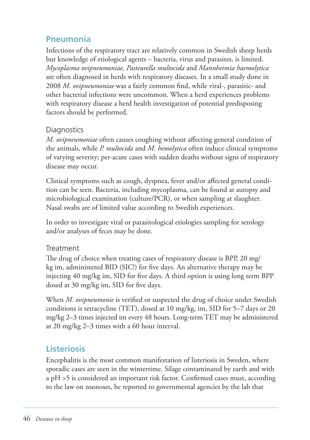## **Pneumonia**

Infections of the respiratory tract are relatively common in Swedish sheep herds but knowledge of etiological agents – bacteria, virus and parasites, is limited. *Mycoplasma ovipneumoniae, Pasteurella multocida* and *Mannheimia haemolytica* are often diagnosed in herds with respiratory diseases. In a small study done in 2008 *M. ovipneumoniae* was a fairly common find, while viral-, parasitic- and other bacterial infections were uncommon. When a herd experiences problems with respiratory disease a herd health investigation of potential predisposing factors should be performed.

#### **Diagnostics**

*M. ovipneumoniae* often causes coughing without affecting general condition of the animals, while *P. multocida* and *M. hemolytica* often induce clinical symptoms of varying severity; per-acute cases with sudden deaths without signs of respiratory disease may occur.

Clinical symptoms such as cough, dyspnea, fever and/or affected general condition can be seen. Bacteria, including mycoplasma, can be found at autopsy and microbiological examination (culture/PCR), or when sampling at slaughter. Nasal swabs are of limited value according to Swedish experiences.

In order to investigate viral or parasitological etiologies sampling for serology and/or analyses of feces may be done.

#### **Treatment**

The drug of choice when treating cases of respiratory disease is BPP, 20 mg/ kg im, administered BID (SIC!) for five days. An alternative therapy may be injecting 40 mg/kg im, SID for five days. A third option is using long term BPP dosed at 30 mg/kg im, SID for five days.

When *M. ovipneumonie* is verified or suspected the drug of choice under Swedish conditions is tetracycline (TET), dosed at 10 mg/kg, im, SID for 5–7 days or 20 mg/kg 2–3 times injected im every 48 hours. Long-term TET may be administered at 20 mg/kg 2–3 times with a 60 hour interval.

## **Listeriosis**

Encephalitis is the most common manifestation of listeriosis in Sweden, where sporadic cases are seen in the wintertime. Silage contaminated by earth and with a pH >5 is considered an important risk factor. Confirmed cases must, according to the law on zoonoses, be reported to governmental agencies by the lab that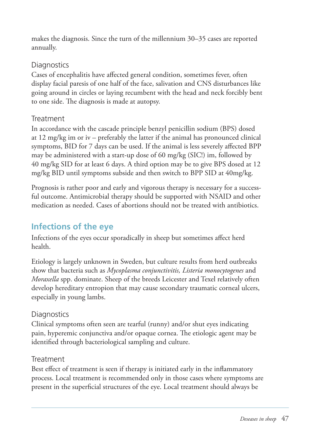makes the diagnosis. Since the turn of the millennium 30–35 cases are reported annually.

#### **Diagnostics**

Cases of encephalitis have affected general condition, sometimes fever, often display facial paresis of one half of the face, salivation and CNS disturbances like going around in circles or laying recumbent with the head and neck forcibly bent to one side. The diagnosis is made at autopsy.

#### **Treatment**

In accordance with the cascade principle benzyl penicillin sodium (BPS) dosed at 12 mg/kg im or iv – preferably the latter if the animal has pronounced clinical symptoms, BID for 7 days can be used. If the animal is less severely affected BPP may be administered with a start-up dose of 60 mg/kg (SIC!) im, followed by 40 mg/kg SID for at least 6 days. A third option may be to give BPS dosed at 12 mg/kg BID until symptoms subside and then switch to BPP SID at 40mg/kg.

Prognosis is rather poor and early and vigorous therapy is necessary for a successful outcome. Antimicrobial therapy should be supported with NSAID and other medication as needed. Cases of abortions should not be treated with antibiotics.

## **Infections of the eye**

Infections of the eyes occur sporadically in sheep but sometimes affect herd health.

Etiology is largely unknown in Sweden, but culture results from herd outbreaks show that bacteria such as *Mycoplasma conjunctivitis, Listeria monocytogenes* and *Moraxella* spp. dominate. Sheep of the breeds Leicester and Texel relatively often develop hereditary entropion that may cause secondary traumatic corneal ulcers, especially in young lambs.

#### **Diagnostics**

Clinical symptoms often seen are tearful (runny) and/or shut eyes indicating pain, hyperemic conjunctiva and/or opaque cornea. The etiologic agent may be identified through bacteriological sampling and culture.

#### Treatment

Best effect of treatment is seen if therapy is initiated early in the inflammatory process. Local treatment is recommended only in those cases where symptoms are present in the superficial structures of the eye. Local treatment should always be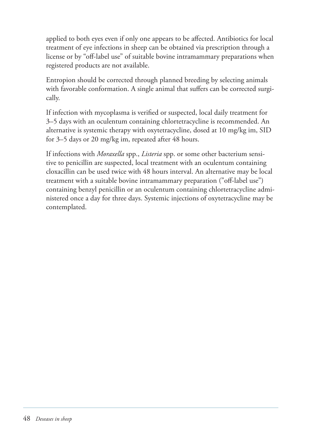applied to both eyes even if only one appears to be affected. Antibiotics for local treatment of eye infections in sheep can be obtained via prescription through a license or by "off -label use" of suitable bovine intramammary preparations when registered products are not available.

Entropion should be corrected through planned breeding by selecting animals with favorable conformation. A single animal that suffers can be corrected surgically.

If infection with mycoplasma is verified or suspected, local daily treatment for 3–5 days with an oculentum containing chlortetracycline is recommended. An alternative is systemic therapy with oxytetracycline, dosed at 10 mg/kg im, SID for 3–5 days or 20 mg/kg im, repeated after 48 hours.

If infections with *Moraxella* spp., *Listeria* spp. or some other bacterium sensitive to penicillin are suspected, local treatment with an oculentum containing cloxacillin can be used twice with 48 hours interval. An alternative may be local treatment with a suitable bovine intramammary preparation ("off -label use") containing benzyl penicillin or an oculentum containing chlortetracycline administered once a day for three days. Systemic injections of oxytetracycline may be contemplated.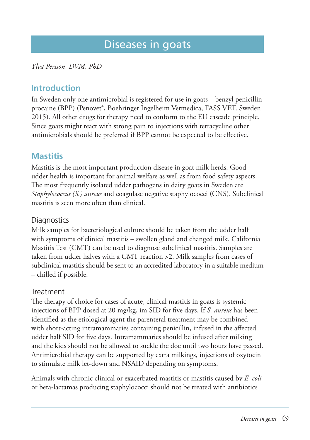## Diseases in goats

*Ylva Persson, DVM, PhD*

### **Introduction**

In Sweden only one antimicrobial is registered for use in goats – benzyl penicillin procaine (BPP) (Penovet®, Boehringer Ingelheim Vetmedica, FASS VET. Sweden 2015). All other drugs for therapy need to conform to the EU cascade principle. Since goats might react with strong pain to injections with tetracycline other antimicrobials should be preferred if BPP cannot be expected to be effective.

## **Mastitis**

Mastitis is the most important production disease in goat milk herds. Good udder health is important for animal welfare as well as from food safety aspects. The most frequently isolated udder pathogens in dairy goats in Sweden are *Staphylo coccus (S.) aureus* and coagulase negative staphylococci (CNS). Subclinical mastitis is seen more often than clinical.

#### **Diagnostics**

Milk samples for bacteriological culture should be taken from the udder half with symptoms of clinical mastitis – swollen gland and changed milk. California Mastitis Test (CMT) can be used to diagnose subclinical mastitis. Samples are taken from udder halves with a CMT reaction >2. Milk samples from cases of subclinical mastitis should be sent to an accredited laboratory in a suitable medium – chilled if possible.

#### **Treatment**

The therapy of choice for cases of acute, clinical mastitis in goats is systemic injections of BPP dosed at 20 mg/kg, im SID for five days. If *S. aureus* has been identified as the etiological agent the parenteral treatment may be combined with short-acting intramammaries containing penicillin, infused in the affected udder half SID for five days. Intramammaries should be infused after milking and the kids should not be allowed to suckle the doe until two hours have passed. Antimicrobial therapy can be supported by extra milkings, injections of oxytocin to stimulate milk let-down and NSAID depending on symptoms.

Animals with chronic clinical or exacerbated mastitis or mastitis caused by *E. coli* or beta-lactamas producing staphylococci should not be treated with antibiotics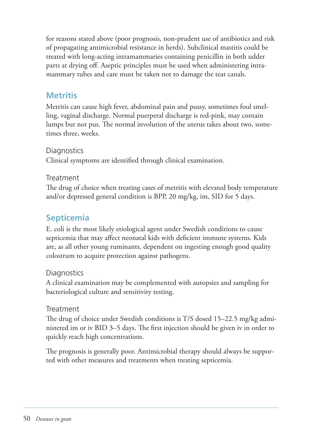for reasons stated above (poor prognosis, non-prudent use of antibiotics and risk of propagating antimicrobial resistance in herds). Subclinical mastitis could be treated with long-acting intramammaries containing penicillin in both udder parts at drying off . Aseptic principles must be used when administering intramammary tubes and care must be taken not to damage the teat canals.

### **Metritis**

Metritis can cause high fever, abdominal pain and pussy, sometimes foul smelling, vaginal discharge. Normal puerperal discharge is red-pink, may contain lumps but not pus. The normal involution of the uterus takes about two, sometimes three, weeks.

#### **Diagnostics**

Clinical symptoms are identified through clinical examination.

#### Treatment

The drug of choice when treating cases of metritis with elevated body temperature and/or depressed general condition is BPP, 20 mg/kg, im, SID for 5 days.

### **Septicemia**

E. coli is the most likely etiological agent under Swedish conditions to cause septicemia that may affect neonatal kids with deficient immune systems. Kids are, as all other young ruminants, dependent on ingesting enough good quality colostrum to acquire protection against pathogens.

#### **Diagnostics**

A clinical examination may be complemented with autopsies and sampling for bacteriological culture and sensitivity testing.

#### **Treatment**

The drug of choice under Swedish conditions is  $T/S$  dosed 15–22.5 mg/kg administered im or iv BID  $3-5$  days. The first injection should be given iv in order to quickly reach high concentrations.

The prognosis is generally poor. Antimicrobial therapy should always be supported with other measures and treatments when treating septicemia.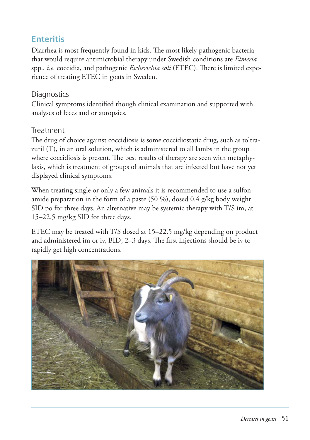## **Enteritis**

Diarrhea is most frequently found in kids. The most likely pathogenic bacteria that would require antimicrobial therapy under Swedish conditions are *Eimeria* spp., *i.e.* coccidia, and pathogenic *Escherichia coli* (ETEC). There is limited experience of treating ETEC in goats in Sweden.

#### **Diagnostics**

Clinical symptoms identified though clinical examination and supported with analyses of feces and or autopsies.

#### **Treatment**

The drug of choice against coccidiosis is some coccidiostatic drug, such as toltrazuril (T), in an oral solution, which is administered to all lambs in the group where coccidiosis is present. The best results of therapy are seen with metaphylaxis, which is treatment of groups of animals that are infected but have not yet displayed clinical symptoms.

When treating single or only a few animals it is recommended to use a sulfonamide preparation in the form of a paste (50 %), dosed 0.4 g/kg body weight SID po for three days. An alternative may be systemic therapy with T/S im, at 15–22.5 mg/kg SID for three days.

ETEC may be treated with T/S dosed at 15–22.5 mg/kg depending on product and administered im or iv, BID, 2-3 days. The first injections should be iv to rapidly get high concentrations.

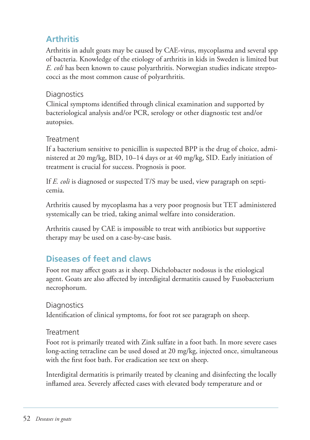## **Arthritis**

Arthritis in adult goats may be caused by CAE-virus, mycoplasma and several spp of bacteria. Knowledge of the etiology of arthritis in kids in Sweden is limited but *E. coli* has been known to cause polyarthritis. Norwegian studies indicate streptococci as the most common cause of polyarthritis.

#### **Diagnostics**

Clinical symptoms identified through clinical examination and supported by bacteriological analysis and/or PCR, serology or other diagnostic test and/or autopsies.

#### Treatment

If a bacterium sensitive to penicillin is suspected BPP is the drug of choice, administered at 20 mg/kg, BID, 10–14 days or at 40 mg/kg, SID. Early initiation of treatment is crucial for success. Prognosis is poor.

If *E. coli* is diagnosed or suspected T/S may be used, view paragraph on septicemia.

Arthritis caused by mycoplasma has a very poor prognosis but TET administered systemically can be tried, taking animal welfare into consideration.

Arthritis caused by CAE is impossible to treat with antibiotics but supportive therapy may be used on a case-by-case basis.

## **Diseases of feet and claws**

Foot rot may affect goats as it sheep. Dichelobacter nodosus is the etiological agent. Goats are also affected by interdigital dermatitis caused by Fusobacterium necrophorum.

#### **Diagnostics**

Identification of clinical symptoms, for foot rot see paragraph on sheep.

#### Treatment

Foot rot is primarily treated with Zink sulfate in a foot bath. In more severe cases long-acting tetracline can be used dosed at 20 mg/kg, injected once, simultaneous with the first foot bath. For eradication see text on sheep.

Interdigital dermatitis is primarily treated by cleaning and disinfecting the locally inflamed area. Severely affected cases with elevated body temperature and or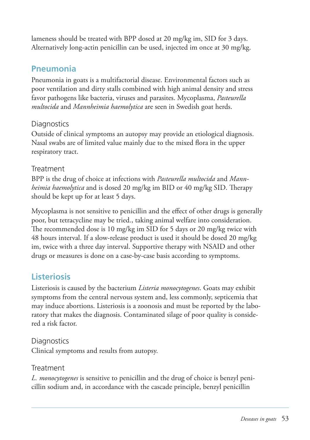lameness should be treated with BPP dosed at 20 mg/kg im, SID for 3 days. Alternatively long-actin penicillin can be used, injected im once at 30 mg/kg.

### **Pneumonia**

Pneumonia in goats is a multifactorial disease. Environmental factors such as poor ventilation and dirty stalls combined with high animal density and stress favor pathogens like bacteria, viruses and parasites. Mycoplasma, *Pasteurella multo cida* and *Mannheimia haemolytica* are seen in Swedish goat herds.

#### **Diagnostics**

Outside of clinical symptoms an autopsy may provide an etiological diagnosis. Nasal swabs are of limited value mainly due to the mixed flora in the upper respiratory tract.

#### Treatment

BPP is the drug of choice at infections with *Pasteurella multocida* and *Mannheimia haemolytica* and is dosed 20 mg/kg im BID or 40 mg/kg SID. Therapy should be kept up for at least 5 days.

Mycoplasma is not sensitive to penicillin and the effect of other drugs is generally poor, but tetracycline may be tried., taking animal welfare into consideration. The recommended dose is 10 mg/kg im SID for 5 days or 20 mg/kg twice with 48 hours interval. If a slow-release product is used it should be dosed 20 mg/kg im, twice with a three day interval. Supportive therapy with NSAID and other drugs or measures is done on a case-by-case basis according to symptoms.

## **Listeriosis**

Listeriosis is caused by the bacterium *Listeria monocytogenes*. Goats may exhibit symptoms from the central nervous system and, less commonly, septicemia that may induce abortions. Listeriosis is a zoonosis and must be reported by the laboratory that makes the diagnosis. Contaminated silage of poor quality is considered a risk factor.

#### **Diagnostics** Clinical symptoms and results from autopsy.

#### Treatment

*L. monocytogenes* is sensitive to penicillin and the drug of choice is benzyl penicillin sodium and, in accordance with the cascade principle, benzyl penicillin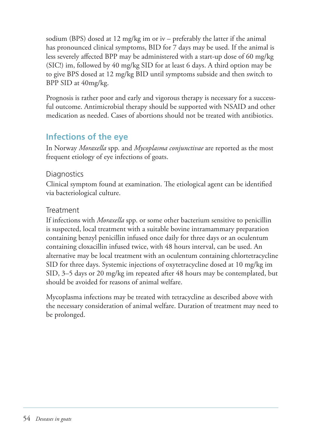sodium (BPS) dosed at 12 mg/kg im or iv – preferably the latter if the animal has pronounced clinical symptoms, BID for 7 days may be used. If the animal is less severely affected BPP may be administered with a start-up dose of 60 mg/kg (SIC!) im, followed by 40 mg/kg SID for at least 6 days. A third option may be to give BPS dosed at 12 mg/kg BID until symptoms subside and then switch to BPP SID at 40mg/kg.

Prognosis is rather poor and early and vigorous therapy is necessary for a successful outcome. Antimicrobial therapy should be supported with NSAID and other medication as needed. Cases of abortions should not be treated with antibiotics.

## **Infections of the eye**

In Norway *Moraxella* spp. and *Mycoplasma conjunctivae* are reported as the most frequent etiology of eye infections of goats.

#### **Diagnostics**

Clinical symptom found at examination. The etiological agent can be identified via bacteriological culture.

#### Treatment

If infections with *Moraxella* spp. or some other bacterium sensitive to penicillin is suspected, local treatment with a suitable bovine intramammary preparation containing benzyl penicillin infused once daily for three days or an oculentum containing cloxacillin infused twice, with 48 hours interval, can be used. An alternative may be local treatment with an oculentum containing chlortetracycline SID for three days. Systemic injections of oxytetracycline dosed at 10 mg/kg im SID,  $3-5$  days or 20 mg/kg im repeated after 48 hours may be contemplated, but should be avoided for reasons of animal welfare.

Mycoplasma infections may be treated with tetracycline as described above with the necessary consideration of animal welfare. Duration of treatment may need to be prolonged.